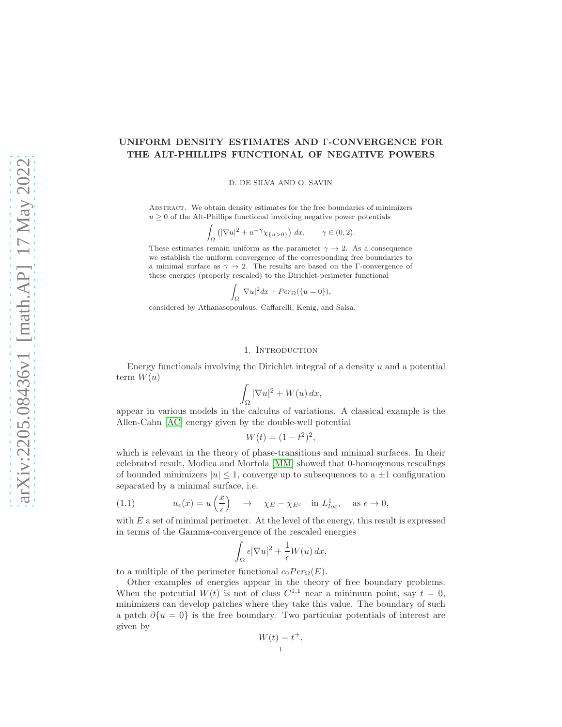# UNIFORM DENSITY ESTIMATES AND Γ-CONVERGENCE FOR THE ALT-PHILLIPS FUNCTIONAL OF NEGATIVE POWERS

D. DE SILVA AND O. SAVIN

Abstract. We obtain density estimates for the free boundaries of minimizers  $u \geq 0$  of the Alt-Phillips functional involving negative power potentials

$$
\int_{\Omega} \left( |\nabla u|^2 + u^{-\gamma} \chi_{\{u > 0\}} \right) dx, \qquad \gamma \in (0, 2).
$$

These estimates remain uniform as the parameter  $\gamma \to 2$ . As a consequence we establish the uniform convergence of the corresponding free boundaries to a minimal surface as  $\gamma \to 2$ . The results are based on the Γ-convergence of these energies (properly rescaled) to the Dirichlet-perimeter functional

$$
\int_{\Omega} |\nabla u|^2 dx + Per_{\Omega}(\{u = 0\}),
$$

considered by Athanasopoulous, Caffarelli, Kenig, and Salsa.

#### 1. Introduction

Energy functionals involving the Dirichlet integral of a density  $u$  and a potential term  $W(u)$ 

$$
\int_{\Omega} |\nabla u|^2 + W(u) \, dx,
$$

appear in various models in the calculus of variations. A classical example is the Allen-Cahn [\[AC\]](#page-22-0) energy given by the double-well potential

$$
W(t) = (1 - t^2)^2,
$$

which is relevant in the theory of phase-transitions and minimal surfaces. In their celebrated result, Modica and Mortola [\[MM\]](#page-23-0) showed that 0-homogenous rescalings of bounded minimizers  $|u| \leq 1$ , converge up to subsequences to a  $\pm 1$  configuration separated by a minimal surface, i.e.

<span id="page-0-0"></span>(1.1) 
$$
u_{\epsilon}(x) = u\left(\frac{x}{\epsilon}\right) \rightarrow \chi_E - \chi_{E^c}
$$
 in  $L^1_{loc}$ , as  $\epsilon \rightarrow 0$ ,

with  $E$  a set of minimal perimeter. At the level of the energy, this result is expressed in terms of the Gamma-convergence of the rescaled energies

$$
\int_{\Omega} \epsilon |\nabla u|^2 + \frac{1}{\epsilon} W(u) \, dx,
$$

to a multiple of the perimeter functional  $c_0Per_{\Omega}(E)$ .

Other examples of energies appear in the theory of free boundary problems. When the potential  $W(t)$  is not of class  $C^{1,1}$  near a minimum point, say  $t = 0$ , minimizers can develop patches where they take this value. The boundary of such a patch  $\partial \{u = 0\}$  is the free boundary. Two particular potentials of interest are given by

$$
W(t) = t^+,
$$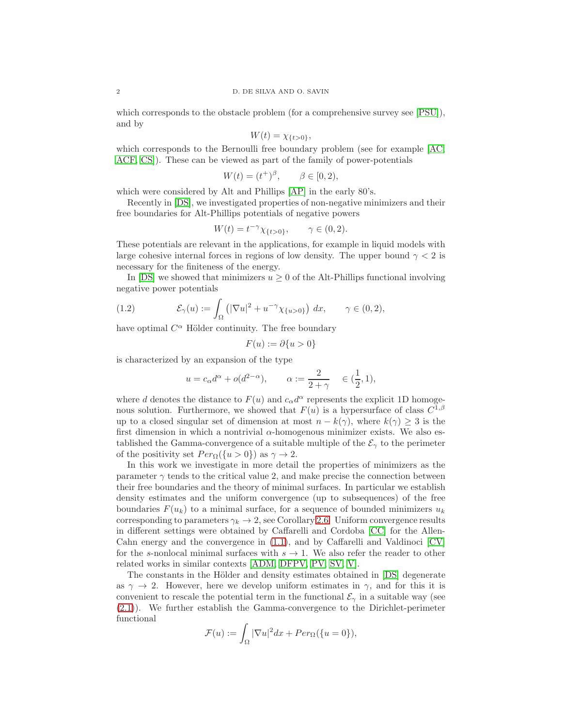which corresponds to the obstacle problem (for a comprehensive survey see [\[PSU\]](#page-23-1)), and by

$$
W(t) = \chi_{\{t>0\}},
$$

which corresponds to the Bernoulli free boundary problem (see for example [\[AC,](#page-22-0) [ACF,](#page-22-1) [CS\]](#page-22-2)). These can be viewed as part of the family of power-potentials

$$
W(t) = (t^+)^{\beta}, \qquad \beta \in [0, 2),
$$

which were considered by Alt and Phillips [\[AP\]](#page-22-3) in the early 80's.

Recently in [\[DS\]](#page-22-4), we investigated properties of non-negative minimizers and their free boundaries for Alt-Phillips potentials of negative powers

$$
W(t) = t^{-\gamma} \chi_{\{t > 0\}}, \qquad \gamma \in (0, 2).
$$

These potentials are relevant in the applications, for example in liquid models with large cohesive internal forces in regions of low density. The upper bound  $\gamma < 2$  is necessary for the finiteness of the energy.

In [\[DS\]](#page-22-4) we showed that minimizers  $u \geq 0$  of the Alt-Phillips functional involving negative power potentials

<span id="page-1-0"></span>(1.2) 
$$
\mathcal{E}_{\gamma}(u) := \int_{\Omega} \left( |\nabla u|^2 + u^{-\gamma} \chi_{\{u > 0\}} \right) dx, \qquad \gamma \in (0, 2),
$$

have optimal  $C^{\alpha}$  Hölder continuity. The free boundary

$$
F(u) := \partial\{u > 0\}
$$

is characterized by an expansion of the type

$$
u = c_{\alpha}d^{\alpha} + o(d^{2-\alpha}), \qquad \alpha := \frac{2}{2+\gamma} \quad \in (\frac{1}{2}, 1),
$$

where d denotes the distance to  $F(u)$  and  $c_{\alpha}d^{\alpha}$  represents the explicit 1D homogenous solution. Furthermore, we showed that  $F(u)$  is a hypersurface of class  $C^{1,\beta}$ up to a closed singular set of dimension at most  $n - k(\gamma)$ , where  $k(\gamma) \geq 3$  is the first dimension in which a nontrivial  $\alpha$ -homogenous minimizer exists. We also established the Gamma-convergence of a suitable multiple of the  $\mathcal{E}_{\gamma}$  to the perimeter of the positivity set  $Per_{\Omega}(\{u > 0\})$  as  $\gamma \to 2$ .

In this work we investigate in more detail the properties of minimizers as the parameter  $\gamma$  tends to the critical value 2, and make precise the connection between their free boundaries and the theory of minimal surfaces. In particular we establish density estimates and the uniform convergence (up to subsequences) of the free boundaries  $F(u_k)$  to a minimal surface, for a sequence of bounded minimizers  $u_k$ corresponding to parameters  $\gamma_k \to 2$ , see Corollary [2.6.](#page-4-0) Uniform convergence results in different settings were obtained by Caffarelli and Cordoba [\[CC\]](#page-22-5) for the Allen-Cahn energy and the convergence in [\(1.1\)](#page-0-0), and by Caffarelli and Valdinoci [\[CV\]](#page-22-6) for the s-nonlocal minimal surfaces with  $s \to 1$ . We also refer the reader to other related works in similar contexts [\[ADM,](#page-22-7) [DFPV,](#page-22-8) [PV,](#page-23-2) [SV,](#page-23-3) [V\]](#page-23-4).

The constants in the Hölder and density estimates obtained in [\[DS\]](#page-22-4) degenerate as  $\gamma \to 2$ . However, here we develop uniform estimates in  $\gamma$ , and for this it is convenient to rescale the potential term in the functional  $\mathcal{E}_{\gamma}$  in a suitable way (see [\(2.1\)](#page-2-0)). We further establish the Gamma-convergence to the Dirichlet-perimeter functional

$$
\mathcal{F}(u) := \int_{\Omega} |\nabla u|^2 dx + Per_{\Omega}(\{u = 0\}),
$$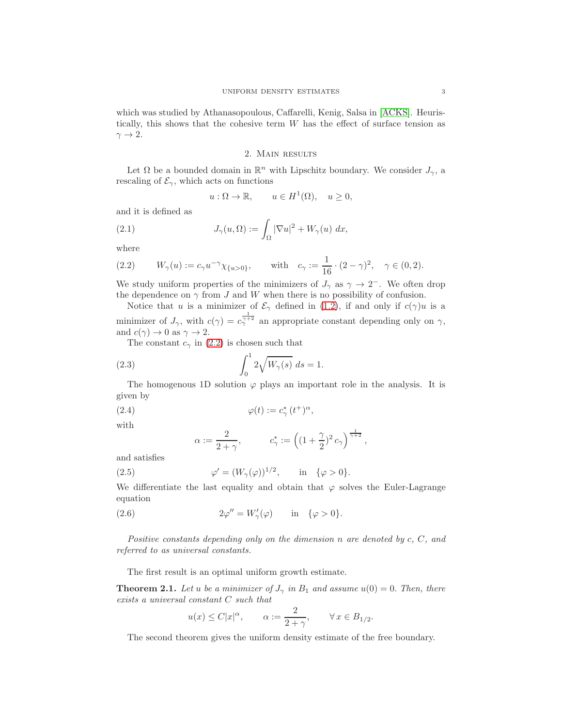which was studied by Athanasopoulous, Caffarelli, Kenig, Salsa in [\[ACKS\]](#page-22-9). Heuristically, this shows that the cohesive term W has the effect of surface tension as  $\gamma \rightarrow 2$ .

## 2. Main results

Let  $\Omega$  be a bounded domain in  $\mathbb{R}^n$  with Lipschitz boundary. We consider  $J_{\gamma}$ , a rescaling of  $\mathcal{E}_{\gamma}$ , which acts on functions

<span id="page-2-0"></span>
$$
u: \Omega \to \mathbb{R}, \qquad u \in H^1(\Omega), \quad u \ge 0,
$$

and it is defined as

(2.1) 
$$
J_{\gamma}(u,\Omega) := \int_{\Omega} |\nabla u|^2 + W_{\gamma}(u) dx,
$$

where

<span id="page-2-1"></span>(2.2) 
$$
W_{\gamma}(u) := c_{\gamma} u^{-\gamma} \chi_{\{u > 0\}}, \quad \text{with} \quad c_{\gamma} := \frac{1}{16} \cdot (2 - \gamma)^2, \quad \gamma \in (0, 2).
$$

We study uniform properties of the minimizers of  $J_{\gamma}$  as  $\gamma \to 2^-$ . We often drop the dependence on  $\gamma$  from J and W when there is no possibility of confusion.

Notice that u is a minimizer of  $\mathcal{E}_{\gamma}$  defined in [\(1.2\)](#page-1-0), if and only if  $c(\gamma)u$  is a minimizer of  $J_{\gamma}$ , with  $c(\gamma) = c_{\gamma}^{\frac{1}{\gamma+2}}$  an appropriate constant depending only on  $\gamma$ , and  $c(\gamma) \to 0$  as  $\gamma \to 2$ .

The constant  $c_{\gamma}$  in [\(2.2\)](#page-2-1) is chosen such that

(2.3) 
$$
\int_0^1 2\sqrt{W_\gamma(s)} ds = 1.
$$

The homogenous 1D solution  $\varphi$  plays an important role in the analysis. It is given by

(2.4) 
$$
\varphi(t) := c_{\gamma}^*(t^{\dagger})^{\alpha},
$$

with

<span id="page-2-5"></span><span id="page-2-4"></span><span id="page-2-3"></span>
$$
\alpha:=\frac{2}{2+\gamma}, \hspace{1cm} c_{\gamma}^*:=\left((1+\frac{\gamma}{2})^2\,c_{\gamma}\right)^{\frac{1}{\gamma+2}},
$$

and satisfies

(2.5) 
$$
\varphi' = (W_{\gamma}(\varphi))^{1/2}, \quad \text{in} \quad {\varphi > 0}.
$$

We differentiate the last equality and obtain that  $\varphi$  solves the Euler-Lagrange equation

(2.6) 
$$
2\varphi'' = W'_{\gamma}(\varphi) \quad \text{in} \quad \{\varphi > 0\}.
$$

Positive constants depending only on the dimension n are denoted by c, C, and referred to as universal constants.

The first result is an optimal uniform growth estimate.

<span id="page-2-2"></span>**Theorem 2.1.** Let u be a minimizer of  $J_{\gamma}$  in  $B_1$  and assume  $u(0) = 0$ . Then, there exists a universal constant C such that

$$
u(x) \le C|x|^{\alpha}, \qquad \alpha := \frac{2}{2+\gamma}, \qquad \forall x \in B_{1/2}.
$$

The second theorem gives the uniform density estimate of the free boundary.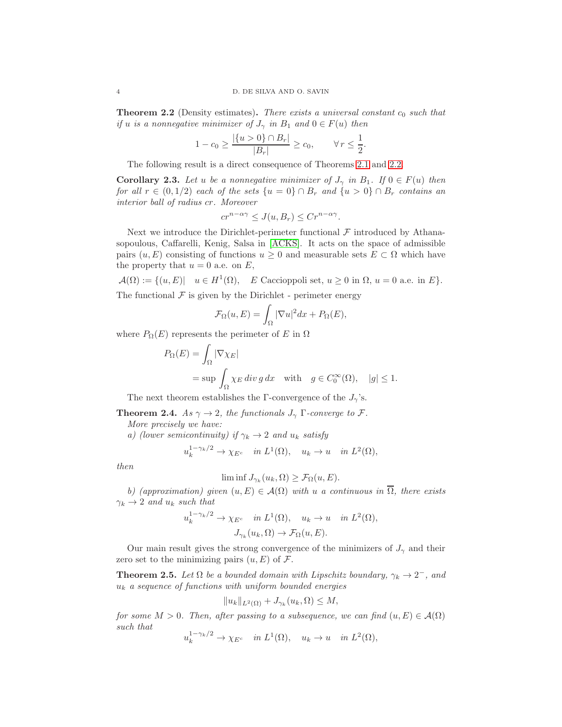<span id="page-3-0"></span>**Theorem 2.2** (Density estimates). There exists a universal constant  $c_0$  such that if u is a nonnegative minimizer of  $J_{\gamma}$  in  $B_1$  and  $0 \in F(u)$  then

$$
1 - c_0 \ge \frac{|\{u > 0\} \cap B_r|}{|B_r|} \ge c_0, \qquad \forall \, r \le \frac{1}{2}.
$$

The following result is a direct consequence of Theorems [2.1](#page-2-2) and [2.2.](#page-3-0)

<span id="page-3-2"></span>**Corollary 2.3.** Let u be a nonnegative minimizer of  $J_{\gamma}$  in  $B_1$ . If  $0 \in F(u)$  then for all  $r \in (0, 1/2)$  each of the sets  $\{u = 0\} \cap B_r$  and  $\{u > 0\} \cap B_r$  contains an interior ball of radius cr. Moreover

$$
cr^{n-\alpha\gamma} \le J(u, B_r) \le Cr^{n-\alpha\gamma}.
$$

Next we introduce the Dirichlet-perimeter functional  $\mathcal F$  introduced by Athanasopoulous, Caffarelli, Kenig, Salsa in [\[ACKS\]](#page-22-9). It acts on the space of admissible pairs  $(u, E)$  consisting of functions  $u \geq 0$  and measurable sets  $E \subset \Omega$  which have the property that  $u = 0$  a.e. on  $E$ ,

 $\mathcal{A}(\Omega) := \{ (u, E) | u \in H^1(\Omega), E$  Caccioppoli set,  $u \ge 0$  in  $\Omega, u = 0$  a.e. in  $E \}.$ The functional  $\mathcal F$  is given by the Dirichlet - perimeter energy

$$
\mathcal{F}_{\Omega}(u,E) = \int_{\Omega} |\nabla u|^2 dx + P_{\Omega}(E),
$$

where  $P_{\Omega}(E)$  represents the perimeter of E in  $\Omega$ 

$$
P_{\Omega}(E) = \int_{\Omega} |\nabla \chi_E|
$$
  
= sup  $\int_{\Omega} \chi_E \, div \, g \, dx$  with  $g \in C_0^{\infty}(\Omega)$ ,  $|g| \le 1$ .

The next theorem establishes the Γ-convergence of the  $J_{\gamma}$ 's.

**Theorem 2.4.** As  $\gamma \rightarrow 2$ , the functionals  $J_{\gamma}$  Γ-converge to F.

More precisely we have:

a) (lower semicontinuity) if  $\gamma_k \to 2$  and  $u_k$  satisfy

$$
u_k^{1-\gamma_k/2} \to \chi_{E^c} \quad in \ L^1(\Omega), \quad u_k \to u \quad in \ L^2(\Omega),
$$

then

$$
\liminf J_{\gamma_k}(u_k,\Omega) \ge \mathcal{F}_{\Omega}(u,E).
$$

b) (approximation) given  $(u, E) \in \mathcal{A}(\Omega)$  with u a continuous in  $\overline{\Omega}$ , there exists  $\gamma_k \rightarrow 2$  and  $u_k$  such that

$$
u_k^{1-\gamma_k/2} \to \chi_{E^c} \quad in \ L^1(\Omega), \quad u_k \to u \quad in \ L^2(\Omega),
$$

$$
J_{\gamma_k}(u_k, \Omega) \to \mathcal{F}_{\Omega}(u, E).
$$

Our main result gives the strong convergence of the minimizers of  $J_{\gamma}$  and their zero set to the minimizing pairs  $(u, E)$  of  $\mathcal{F}$ .

<span id="page-3-1"></span>**Theorem 2.5.** Let  $\Omega$  be a bounded domain with Lipschitz boundary,  $\gamma_k \to 2^-$ , and  $u_k$  a sequence of functions with uniform bounded energies

$$
||u_k||_{L^2(\Omega)} + J_{\gamma_k}(u_k, \Omega) \le M,
$$

for some  $M > 0$ . Then, after passing to a subsequence, we can find  $(u, E) \in \mathcal{A}(\Omega)$ such that

$$
u_k^{1-\gamma_k/2} \to \chi_{E^c} \quad in \ L^1(\Omega), \quad u_k \to u \quad in \ L^2(\Omega),
$$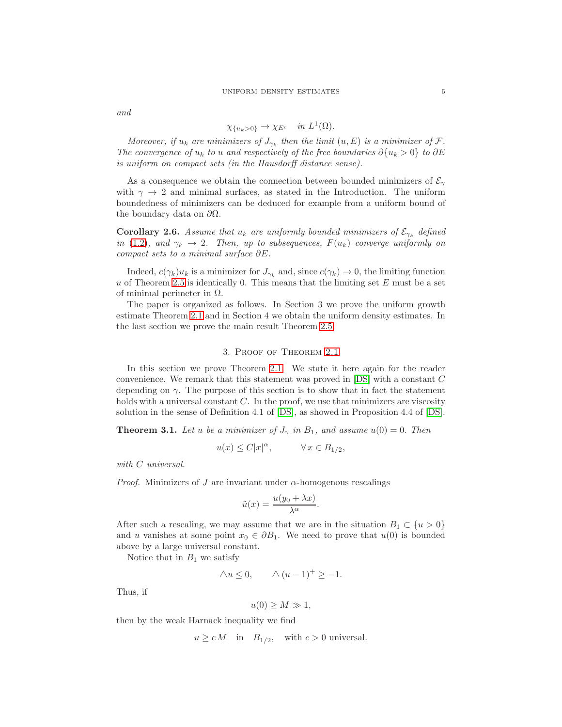and

$$
\chi_{\{u_k>0\}} \to \chi_{E^c} \quad in \ L^1(\Omega).
$$

Moreover, if  $u_k$  are minimizers of  $J_{\gamma_k}$  then the limit  $(u, E)$  is a minimizer of  $\mathcal{F}$ . The convergence of  $u_k$  to u and respectively of the free boundaries  $\partial \{u_k > 0\}$  to  $\partial E$ is uniform on compact sets (in the Hausdorff distance sense).

As a consequence we obtain the connection between bounded minimizers of  $\mathcal{E}_{\gamma}$ with  $\gamma \to 2$  and minimal surfaces, as stated in the Introduction. The uniform boundedness of minimizers can be deduced for example from a uniform bound of the boundary data on  $\partial\Omega$ .

<span id="page-4-0"></span>**Corollary 2.6.** Assume that  $u_k$  are uniformly bounded minimizers of  $\mathcal{E}_{\gamma_k}$  defined in [\(1.2\)](#page-1-0), and  $\gamma_k \to 2$ . Then, up to subsequences,  $F(u_k)$  converge uniformly on compact sets to a minimal surface ∂E.

Indeed,  $c(\gamma_k)u_k$  is a minimizer for  $J_{\gamma_k}$  and, since  $c(\gamma_k) \to 0$ , the limiting function  $u$  of Theorem [2.5](#page-3-1) is identically 0. This means that the limiting set  $E$  must be a set of minimal perimeter in  $\Omega$ .

The paper is organized as follows. In Section 3 we prove the uniform growth estimate Theorem [2.1](#page-2-2) and in Section 4 we obtain the uniform density estimates. In the last section we prove the main result Theorem [2.5.](#page-3-1)

### 3. Proof of Theorem [2.1](#page-2-2)

In this section we prove Theorem [2.1.](#page-2-2) We state it here again for the reader convenience. We remark that this statement was proved in [\[DS\]](#page-22-4) with a constant C depending on  $\gamma$ . The purpose of this section is to show that in fact the statement holds with a universal constant  $C$ . In the proof, we use that minimizers are viscosity solution in the sense of Definition 4.1 of [\[DS\]](#page-22-4), as showed in Proposition 4.4 of [\[DS\]](#page-22-4).

**Theorem 3.1.** Let u be a minimizer of  $J_{\gamma}$  in  $B_1$ , and assume  $u(0) = 0$ . Then

$$
u(x)\leq C|x|^\alpha,\qquad\quad\forall\,x\in B_{1/2},
$$

with  $C$  universal.

*Proof.* Minimizers of J are invariant under  $\alpha$ -homogenous rescalings

$$
\tilde{u}(x) = \frac{u(y_0 + \lambda x)}{\lambda^{\alpha}}.
$$

After such a rescaling, we may assume that we are in the situation  $B_1 \subset \{u > 0\}$ and u vanishes at some point  $x_0 \in \partial B_1$ . We need to prove that  $u(0)$  is bounded above by a large universal constant.

Notice that in  $B_1$  we satisfy

$$
\triangle u \le 0, \qquad \triangle (u-1)^+ \ge -1.
$$

Thus, if

$$
u(0) \ge M \gg 1,
$$

then by the weak Harnack inequality we find

 $u \ge c M$  in  $B_{1/2}$ , with  $c > 0$  universal.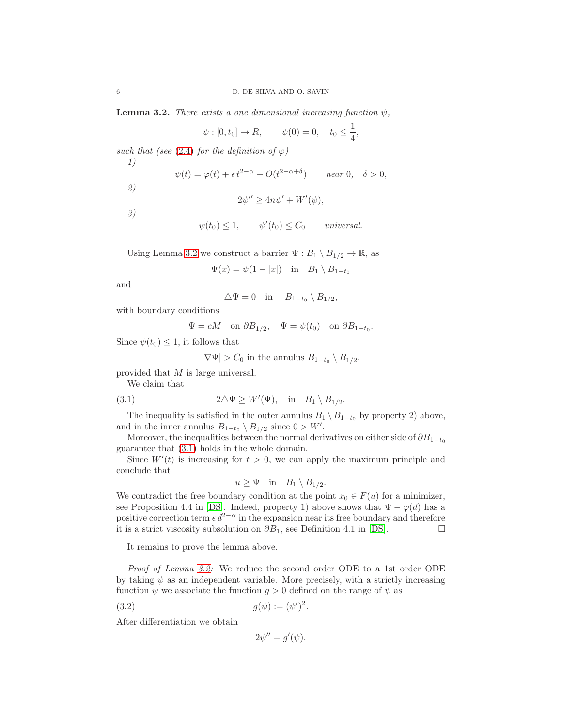<span id="page-5-0"></span>**Lemma 3.2.** There exists a one dimensional increasing function  $\psi$ ,

$$
\psi : [0, t_0] \to R,
$$
  $\psi(0) = 0,$   $t_0 \le \frac{1}{4},$ 

such that (see [\(2.4\)](#page-2-3) for the definition of  $\varphi$ ) 1)

$$
\psi(t) = \varphi(t) + \epsilon t^{2-\alpha} + O(t^{2-\alpha+\delta}) \qquad near \ 0, \quad \delta > 0,
$$

2)

$$
2\psi'' \ge 4n\psi' + W'(\psi),
$$

3)

$$
\psi(t_0) \leq 1
$$
,  $\psi'(t_0) \leq C_0$  universal.

Using Lemma [3.2](#page-5-0) we construct a barrier  $\Psi : B_1 \setminus B_{1/2} \to \mathbb{R}$ , as

$$
\Psi(x) = \psi(1 - |x|) \quad \text{in} \quad B_1 \setminus B_{1-t_0}
$$

and

$$
\triangle \Psi = 0 \quad \text{in} \quad B_{1-t_0} \setminus B_{1/2},
$$

with boundary conditions

$$
\Psi = cM
$$
 on  $\partial B_{1/2}$ ,  $\Psi = \psi(t_0)$  on  $\partial B_{1-t_0}$ .

Since  $\psi(t_0) \leq 1$ , it follows that

<span id="page-5-1"></span> $|\nabla \Psi| > C_0$  in the annulus  $B_{1-t_0} \setminus B_{1/2}$ ,

provided that M is large universal.

We claim that

(3.1) 
$$
2\Delta\Psi \ge W'(\Psi), \text{ in } B_1 \setminus B_{1/2}.
$$

The inequality is satisfied in the outer annulus  $B_1 \setminus B_{1-t_0}$  by property 2) above, and in the inner annulus  $B_{1-t_0} \setminus B_{1/2}$  since  $0 > W'$ .

Moreover, the inequalities between the normal derivatives on either side of  $\partial B_{1-t_0}$ guarantee that [\(3.1\)](#page-5-1) holds in the whole domain.

Since  $W'(t)$  is increasing for  $t > 0$ , we can apply the maximum principle and conclude that

$$
u \geq \Psi \quad \text{in} \quad B_1 \setminus B_{1/2}.
$$

We contradict the free boundary condition at the point  $x_0 \in F(u)$  for a minimizer, see Proposition 4.4 in [\[DS\]](#page-22-4). Indeed, property 1) above shows that  $\Psi - \varphi(d)$  has a positive correction term  $\epsilon d^{2-\alpha}$  in the expansion near its free boundary and therefore it is a strict viscosity subsolution on  $\partial B_1$ , see Definition 4.1 in [\[DS\]](#page-22-4). □

It remains to prove the lemma above.

Proof of Lemma [3.2:](#page-5-0) We reduce the second order ODE to a 1st order ODE by taking  $\psi$  as an independent variable. More precisely, with a strictly increasing function  $\psi$  we associate the function  $g > 0$  defined on the range of  $\psi$  as

(3.2) 
$$
g(\psi) := (\psi')^2.
$$

After differentiation we obtain

<span id="page-5-2"></span>
$$
2\psi'' = g'(\psi).
$$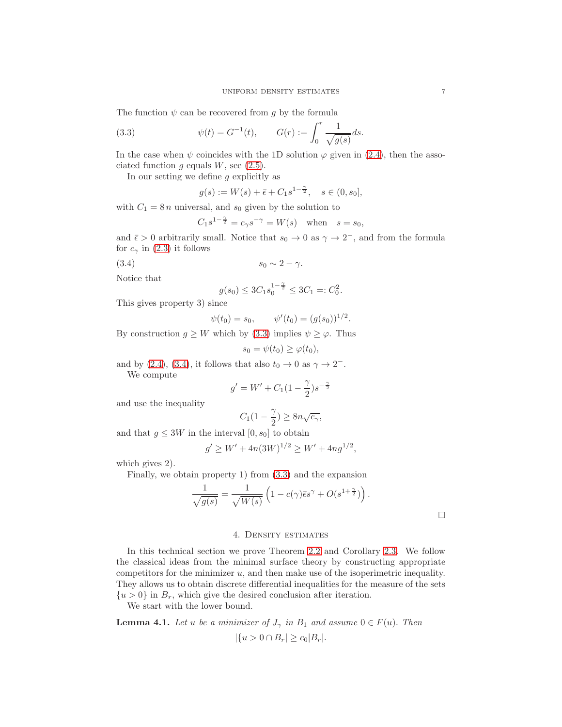The function  $\psi$  can be recovered from g by the formula

(3.3) 
$$
\psi(t) = G^{-1}(t), \qquad G(r) := \int_0^r \frac{1}{\sqrt{g(s)}} ds.
$$

In the case when  $\psi$  coincides with the 1D solution  $\varphi$  given in [\(2.4\)](#page-2-3), then the associated function  $g$  equals  $W$ , see [\(2.5\)](#page-2-4).

In our setting we define  $g$  explicitly as

<span id="page-6-0"></span>
$$
g(s) := W(s) + \bar{\epsilon} + C_1 s^{1 - \frac{\gamma}{2}}, \quad s \in (0, s_0],
$$

with  $C_1 = 8 n$  universal, and  $s_0$  given by the solution to

$$
C_1 s^{1 - \frac{\gamma}{2}} = c_{\gamma} s^{-\gamma} = W(s) \quad \text{when} \quad s = s_0,
$$

and  $\bar{\epsilon} > 0$  arbitrarily small. Notice that  $s_0 \to 0$  as  $\gamma \to 2^-$ , and from the formula for  $c_{\gamma}$  in [\(2.3\)](#page-2-5) it follows

$$
(3.4) \t\t s_0 \sim 2 - \gamma.
$$

Notice that

<span id="page-6-1"></span>
$$
g(s_0) \le 3C_1 s_0^{1-\frac{\gamma}{2}} \le 3C_1 =: C_0^2.
$$

This gives property 3) since

$$
\psi(t_0) = s_0, \qquad \psi'(t_0) = (g(s_0))^{1/2}.
$$

By construction  $g \geq W$  which by [\(3.3\)](#page-6-0) implies  $\psi \geq \varphi$ . Thus

$$
s_0 = \psi(t_0) \ge \varphi(t_0),
$$

and by [\(2.4\)](#page-2-3), [\(3.4\)](#page-6-1), it follows that also  $t_0 \to 0$  as  $\gamma \to 2^-$ .

We compute

$$
g'=W'+C_1\big(1-\frac{\gamma}{2}\big)s^{-\frac{\gamma}{2}}
$$

and use the inequality

$$
C_1(1-\frac{\gamma}{2}) \ge 8n\sqrt{c_\gamma},
$$

and that  $g \leq 3W$  in the interval  $[0, s_0]$  to obtain

$$
g' \ge W' + 4n(3W)^{1/2} \ge W' + 4ng^{1/2},
$$

which gives 2).

Finally, we obtain property 1) from [\(3.3\)](#page-6-0) and the expansion

$$
\frac{1}{\sqrt{g(s)}} = \frac{1}{\sqrt{W(s)}} \left( 1 - c(\gamma) \bar{\epsilon} s^{\gamma} + O(s^{1 + \frac{\gamma}{2}}) \right).
$$

 $\Box$ 

## 4. Density estimates

In this technical section we prove Theorem [2.2](#page-3-0) and Corollary [2.3.](#page-3-2) We follow the classical ideas from the minimal surface theory by constructing appropriate competitors for the minimizer  $u$ , and then make use of the isoperimetric inequality. They allows us to obtain discrete differential inequalities for the measure of the sets  $\{u > 0\}$  in  $B_r$ , which give the desired conclusion after iteration.

We start with the lower bound.

<span id="page-6-2"></span>**Lemma 4.1.** Let u be a minimizer of  $J_{\gamma}$  in  $B_1$  and assume  $0 \in F(u)$ . Then  $|\{u > 0 \cap B_r| \ge c_0 |B_r|.$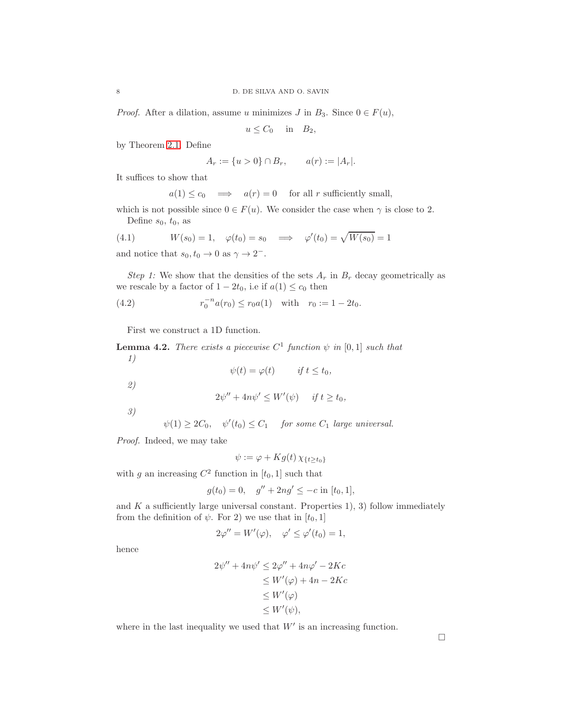*Proof.* After a dilation, assume u minimizes J in  $B_3$ . Since  $0 \in F(u)$ ,

 $u \leq C_0$  in  $B_2$ ,

by Theorem [2.1.](#page-2-2) Define

$$
A_r := \{ u > 0 \} \cap B_r, \qquad a(r) := |A_r|.
$$

It suffices to show that

<span id="page-7-2"></span> $a(1) \leq c_0 \implies a(r) = 0 \text{ for all } r \text{ sufficiently small},$ 

which is not possible since  $0 \in F(u)$ . We consider the case when  $\gamma$  is close to 2. Define  $s_0, t_0$ , as

(4.1) 
$$
W(s_0) = 1
$$
,  $\varphi(t_0) = s_0 \implies \varphi'(t_0) = \sqrt{W(s_0)} = 1$ 

and notice that  $s_0, t_0 \to 0$  as  $\gamma \to 2^-$ .

Step 1: We show that the densities of the sets  $A_r$  in  $B_r$  decay geometrically as we rescale by a factor of  $1 - 2t_0$ , i.e if  $a(1) \leq c_0$  then

(4.2) 
$$
r_0^{-n} a(r_0) \le r_0 a(1) \quad \text{with} \quad r_0 := 1 - 2t_0.
$$

First we construct a 1D function.

<span id="page-7-0"></span>**Lemma 4.2.** There exists a piecewise  $C^1$  function  $\psi$  in [0,1] such that 1)

<span id="page-7-1"></span>
$$
\psi(t) = \varphi(t) \qquad \text{if } t \leq t_0,
$$

2)

$$
2\psi'' + 4n\psi' \le W'(\psi) \quad \text{if } t \ge t_0,
$$

3)

 $\psi(1) \geq 2C_0$ ,  $\psi'(t_0) \leq C_1$  for some  $C_1$  large universal.

Proof. Indeed, we may take

$$
\psi := \varphi + Kg(t)\,\chi_{\{t\geq t_0\}}
$$

with g an increasing  $C^2$  function in  $[t_0, 1]$  such that

$$
g(t_0) = 0
$$
,  $g'' + 2ng' \le -c$  in  $[t_0, 1]$ ,

and  $K$  a sufficiently large universal constant. Properties 1), 3) follow immediately from the definition of  $\psi$ . For 2) we use that in [t<sub>0</sub>, 1]

$$
2\varphi'' = W'(\varphi), \quad \varphi' \le \varphi'(t_0) = 1,
$$

hence

$$
2\psi'' + 4n\psi' \le 2\varphi'' + 4n\varphi' - 2Kc
$$
  
\n
$$
\le W'(\varphi) + 4n - 2Kc
$$
  
\n
$$
\le W'(\varphi)
$$
  
\n
$$
\le W'(\psi),
$$

where in the last inequality we used that  $W'$  is an increasing function.

 $\Box$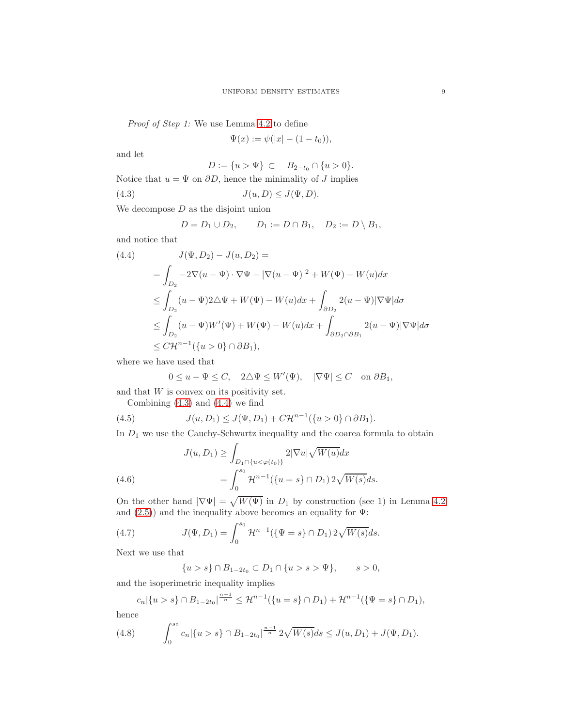Proof of Step 1: We use Lemma [4.2](#page-7-0) to define

<span id="page-8-0"></span>
$$
\Psi(x) := \psi(|x| - (1 - t_0)),
$$

and let

$$
D := \{u > \Psi\} \subset B_{2-t_0} \cap \{u > 0\}.
$$
  
Notice that  $u = \Psi$  on  $\partial D$ , hence the minimality of J implies  

$$
J(u, D) \le J(\Psi, D).
$$

We decompose  $D$  as the disjoint union

$$
D = D_1 \cup D_2, \qquad D_1 := D \cap B_1, \quad D_2 := D \setminus B_1,
$$

and notice that

<span id="page-8-1"></span>
$$
(4.4) \qquad J(\Psi, D_2) - J(u, D_2) =
$$
  
\n
$$
= \int_{D_2} -2\nabla(u - \Psi) \cdot \nabla\Psi - |\nabla(u - \Psi)|^2 + W(\Psi) - W(u)dx
$$
  
\n
$$
\leq \int_{D_2} (u - \Psi)2\Delta\Psi + W(\Psi) - W(u)dx + \int_{\partial D_2} 2(u - \Psi)|\nabla\Psi|d\sigma
$$
  
\n
$$
\leq \int_{D_2} (u - \Psi)W'(\Psi) + W(\Psi) - W(u)dx + \int_{\partial D_2 \cap \partial B_1} 2(u - \Psi)|\nabla\Psi|d\sigma
$$
  
\n
$$
\leq C\mathcal{H}^{n-1}(\{u > 0\} \cap \partial B_1),
$$

where we have used that

<span id="page-8-2"></span>
$$
0 \le u - \Psi \le C, \quad 2\triangle \Psi \le W'(\Psi), \quad |\nabla \Psi| \le C \quad \text{on } \partial B_1,
$$

and that  $W$  is convex on its positivity set.

Combining  $(4.3)$  and  $(4.4)$  we find

(4.5) 
$$
J(u, D_1) \leq J(\Psi, D_1) + C \mathcal{H}^{n-1}(\{u > 0\} \cap \partial B_1).
$$

In  $\mathcal{D}_1$  we use the Cauchy-Schwartz inequality and the coarea formula to obtain

(4.6) 
$$
J(u, D_1) \ge \int_{D_1 \cap \{u < \varphi(t_0)\}} 2|\nabla u| \sqrt{W(u)} dx
$$

$$
= \int_0^{s_0} \mathcal{H}^{n-1}(\{u = s\} \cap D_1) 2\sqrt{W(s)} ds.
$$

<span id="page-8-4"></span>On the other hand  $|\nabla \Psi| = \sqrt{W(\Psi)}$  in  $D_1$  by construction (see 1) in Lemma [4.2](#page-7-0) and  $(2.5)$ ) and the inequality above becomes an equality for  $\Psi$ :

(4.7) 
$$
J(\Psi, D_1) = \int_0^{s_0} \mathcal{H}^{n-1}(\{\Psi = s\} \cap D_1) 2\sqrt{W(s)} ds.
$$

Next we use that

<span id="page-8-3"></span>
$$
{u > s} \cap B_{1-2t_0} \subset D_1 \cap {u > s > \Psi}, \qquad s > 0,
$$

and the isoperimetric inequality implies

$$
c_n|\{u>s\}\cap B_{1-2t_0}|^{\frac{n-1}{n}}\leq \mathcal{H}^{n-1}(\{u=s\}\cap D_1)+\mathcal{H}^{n-1}(\{\Psi=s\}\cap D_1),
$$

hence

(4.8) 
$$
\int_0^{s_0} c_n |\{u > s\} \cap B_{1-2t_0}|^{\frac{n-1}{n}} 2\sqrt{W(s)} ds \leq J(u, D_1) + J(\Psi, D_1).
$$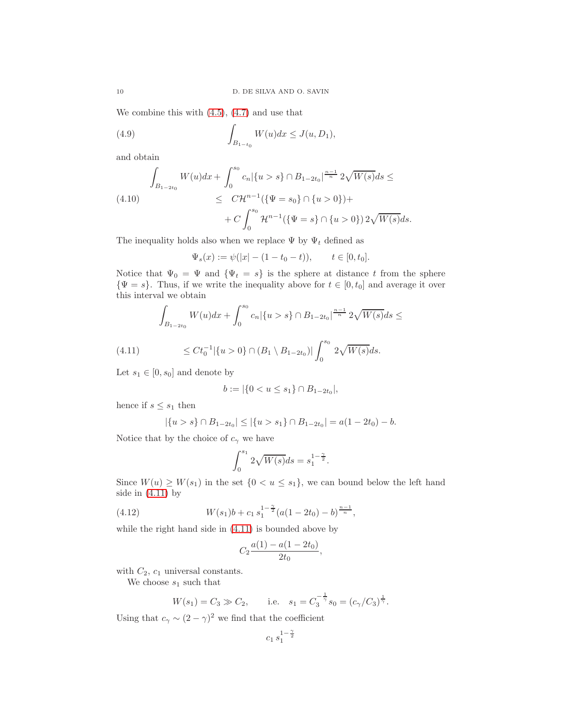We combine this with  $(4.5)$ ,  $(4.7)$  and use that

(4.9) 
$$
\int_{B_{1-t_0}} W(u) dx \leq J(u, D_1),
$$

and obtain

<span id="page-9-2"></span>
$$
\int_{B_{1-2t_0}} W(u)dx + \int_0^{s_0} c_n |\{u > s\} \cap B_{1-2t_0}|^{\frac{n-1}{n}} 2\sqrt{W(s)}ds \le
$$
\n
$$
\leq C\mathcal{H}^{n-1} (\{\Psi = s_0\} \cap \{u > 0\}) +
$$
\n
$$
+ C \int_0^{s_0} \mathcal{H}^{n-1} (\{\Psi = s\} \cap \{u > 0\}) 2\sqrt{W(s)}ds.
$$

The inequality holds also when we replace  $\Psi$  by  $\Psi_t$  defined as

$$
\Psi_s(x) := \psi(|x| - (1 - t_0 - t)), \qquad t \in [0, t_0].
$$

Notice that  $\Psi_0 = \Psi$  and  ${\Psi_t = s}$  is the sphere at distance t from the sphere  $\{\Psi = s\}$ . Thus, if we write the inequality above for  $t \in [0, t_0]$  and average it over this interval we obtain

<span id="page-9-0"></span>
$$
\int_{B_{1-2t_0}} W(u)dx + \int_0^{s_0} c_n |\{u > s\} \cap B_{1-2t_0}|^{\frac{n-1}{n}} 2\sqrt{W(s)} ds \le
$$

(4.11) 
$$
\leq Ct_0^{-1}|\{u>0\}\cap(B_1\setminus B_{1-2t_0})|\int_0^{s_0}2\sqrt{W(s)}ds.
$$

Let  $s_1 \in [0, s_0]$  and denote by

$$
b := |\{0 < u \le s_1\} \cap B_{1-2t_0}|,
$$

hence if  $s \leq s_1$  then

$$
|\{u > s\} \cap B_{1-2t_0}| \leq |\{u > s_1\} \cap B_{1-2t_0}| = a(1-2t_0) - b.
$$

Notice that by the choice of  $c_{\gamma}$  we have

$$
\int_0^{s_1} 2\sqrt{W(s)}ds = s_1^{1-\frac{\gamma}{2}}.
$$

Since  $W(u) \geq W(s_1)$  in the set  $\{0 < u \leq s_1\}$ , we can bound below the left hand side in  $(4.11)$  by

(4.12) 
$$
W(s_1)b + c_1 s_1^{1-\frac{\gamma}{2}} (a(1-2t_0) - b)^{\frac{n-1}{n}},
$$

while the right hand side in [\(4.11\)](#page-9-0) is bounded above by

<span id="page-9-1"></span>
$$
C_2\frac{a(1) - a(1 - 2t_0)}{2t_0},
$$

with  $C_2$ ,  $c_1$  universal constants.

We choose  $s_1$  such that

$$
W(s_1) = C_3 \gg C_2
$$
, i.e.  $s_1 = C_3^{-\frac{1}{\gamma}} s_0 = (c_{\gamma}/C_3)^{\frac{1}{\gamma}}$ .

Using that  $c_{\gamma} \sim (2 - \gamma)^2$  we find that the coefficient

$$
c_1 \, s_1^{1 - \frac{\gamma}{2}}
$$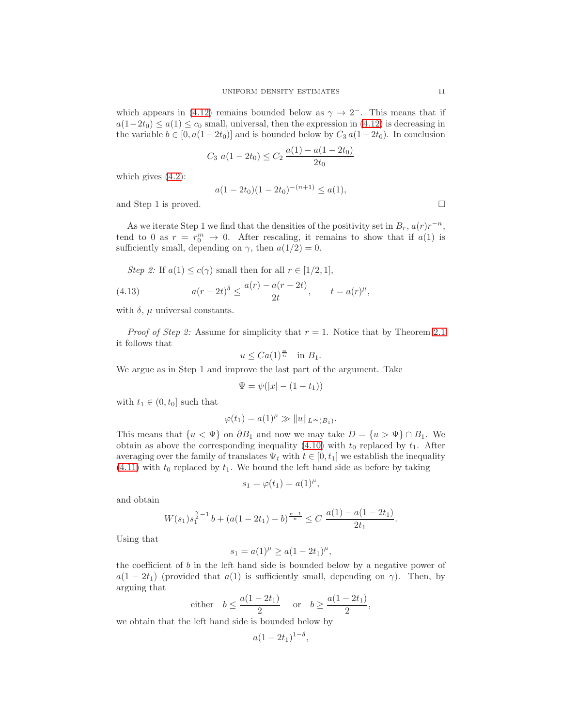which appears in [\(4.12\)](#page-9-1) remains bounded below as  $\gamma \to 2^-$ . This means that if  $a(1-2t_0) \leq a(1) \leq c_0$  small, universal, then the expression in [\(4.12\)](#page-9-1) is decreasing in the variable  $b \in [0, a(1-2t_0)]$  and is bounded below by  $C_3 a(1-2t_0)$ . In conclusion

$$
C_3 \ a(1 - 2t_0) \le C_2 \frac{a(1) - a(1 - 2t_0)}{2t_0}
$$

which gives [\(4.2\)](#page-7-1):

$$
a(1 - 2t_0)(1 - 2t_0)^{-(n+1)} \le a(1),
$$

and Step 1 is proved.

As we iterate Step 1 we find that the densities of the positivity set in  $B_r$ ,  $a(r)r^{-n}$ , tend to 0 as  $r = r_0^m \rightarrow 0$ . After rescaling, it remains to show that if  $a(1)$  is sufficiently small, depending on  $\gamma$ , then  $a(1/2) = 0$ .

<span id="page-10-0"></span>Step 2: If 
$$
a(1) \le c(\gamma)
$$
 small then for all  $r \in [1/2, 1]$ ,  
(4.13) 
$$
a(r - 2t)^{\delta} \le \frac{a(r) - a(r - 2t)}{2t}, \qquad t = a(r)^{\mu}
$$

with  $\delta$ ,  $\mu$  universal constants.

*Proof of Step 2:* Assume for simplicity that  $r = 1$ . Notice that by Theorem [2.1](#page-2-2) it follows that

$$
u \leq Ca(1)^{\frac{\alpha}{n}} \quad \text{in } B_1.
$$

We argue as in Step 1 and improve the last part of the argument. Take

$$
\Psi = \psi(|x| - (1 - t_1))
$$

with  $t_1 \in (0, t_0]$  such that

$$
\varphi(t_1) = a(1)^{\mu} \gg ||u||_{L^{\infty}(B_1)}.
$$

This means that  $\{u < \Psi\}$  on  $\partial B_1$  and now we may take  $D = \{u > \Psi\} \cap B_1$ . We obtain as above the corresponding inequality [\(4.10\)](#page-9-2) with  $t_0$  replaced by  $t_1$ . After averaging over the family of translates  $\Psi_t$  with  $t \in [0, t_1]$  we establish the inequality  $(4.11)$  with  $t_0$  replaced by  $t_1$ . We bound the left hand side as before by taking

$$
s_1 = \varphi(t_1) = a(1)^{\mu},
$$

and obtain

$$
W(s_1)s_1^{\frac{\gamma}{2}-1}b + (a(1-2t_1)-b)^{\frac{n-1}{n}} \le C \frac{a(1)-a(1-2t_1)}{2t_1}.
$$

Using that

$$
s_1 = a(1)^{\mu} \ge a(1 - 2t_1)^{\mu},
$$

the coefficient of  $b$  in the left hand side is bounded below by a negative power of  $a(1-2t_1)$  (provided that  $a(1)$  is sufficiently small, depending on  $\gamma$ ). Then, by arguing that

either 
$$
b \leq \frac{a(1-2t_1)}{2}
$$
 or  $b \geq \frac{a(1-2t_1)}{2}$ ,

we obtain that the left hand side is bounded below by

$$
a(1-2t_1)^{1-\delta},
$$

$$
\qquad \qquad \Box
$$

,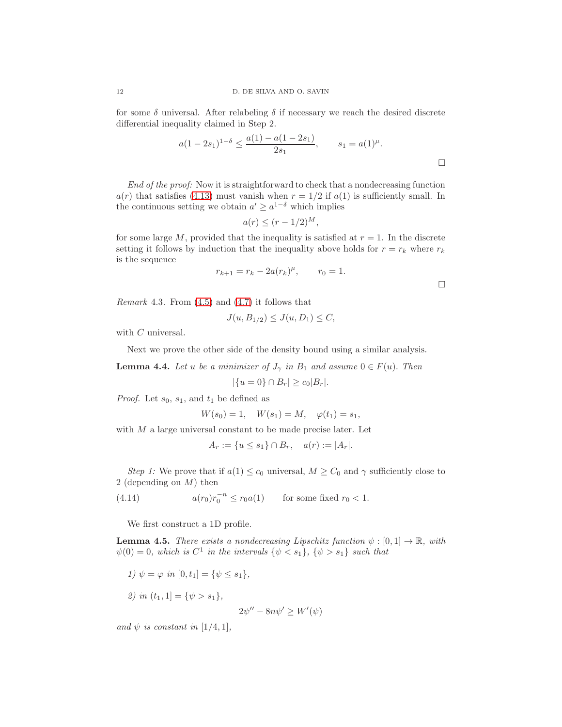for some  $\delta$  universal. After relabeling  $\delta$  if necessary we reach the desired discrete differential inequality claimed in Step 2.

$$
a(1-2s_1)^{1-\delta} \le \frac{a(1)-a(1-2s_1)}{2s_1}, \qquad s_1 = a(1)^{\mu}.
$$

End of the proof: Now it is straightforward to check that a nondecreasing function  $a(r)$  that satisfies [\(4.13\)](#page-10-0) must vanish when  $r = 1/2$  if  $a(1)$  is sufficiently small. In the continuous setting we obtain  $a' \geq a^{1-\delta}$  which implies

$$
a(r) \le (r - 1/2)^M,
$$

for some large M, provided that the inequality is satisfied at  $r = 1$ . In the discrete setting it follows by induction that the inequality above holds for  $r = r_k$  where  $r_k$ is the sequence

$$
r_{k+1} = r_k - 2a(r_k)^{\mu}, \qquad r_0 = 1.
$$

<span id="page-11-2"></span>*Remark* 4.3. From  $(4.5)$  and  $(4.7)$  it follows that

$$
J(u, B_{1/2}) \le J(u, D_1) \le C,
$$

with  $C$  universal.

Next we prove the other side of the density bound using a similar analysis.

**Lemma 4.4.** Let u be a minimizer of  $J_{\gamma}$  in  $B_1$  and assume  $0 \in F(u)$ . Then

$$
|\{u = 0\} \cap B_r| \ge c_0 |B_r|.
$$

*Proof.* Let  $s_0$ ,  $s_1$ , and  $t_1$  be defined as

$$
W(s_0) = 1
$$
,  $W(s_1) = M$ ,  $\varphi(t_1) = s_1$ ,

with  $M$  a large universal constant to be made precise later. Let

<span id="page-11-0"></span>
$$
A_r := \{ u \le s_1 \} \cap B_r, \quad a(r) := |A_r|.
$$

Step 1: We prove that if  $a(1) \leq c_0$  universal,  $M \geq C_0$  and  $\gamma$  sufficiently close to 2 (depending on M) then

(4.14)  $a(r_0)r_0^{-n} \le r_0 a(1)$  for some fixed  $r_0 < 1$ .

We first construct a 1D profile.

<span id="page-11-1"></span>**Lemma 4.5.** There exists a nondecreasing Lipschitz function  $\psi : [0,1] \to \mathbb{R}$ , with  $\psi(0) = 0$ , which is  $C^1$  in the intervals  $\{\psi \leq s_1\}$ ,  $\{\psi > s_1\}$  such that

1) 
$$
\psi = \varphi
$$
 in  $[0, t_1] = {\psi \le s_1}$ ,  
2) in  $(t_1, 1] = {\psi > s_1}$ ,  
 $2\psi'' - 8n\psi' \ge W'(\psi)$ 

and  $\psi$  is constant in [1/4, 1],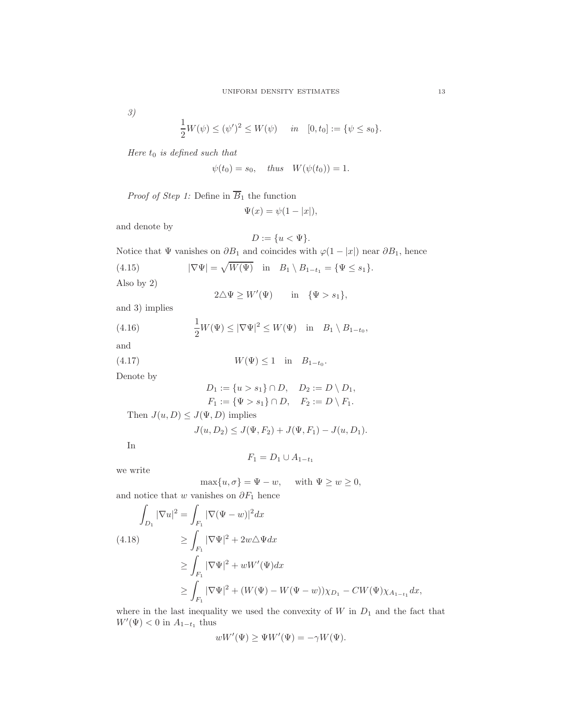3)

$$
\frac{1}{2}W(\psi) \le (\psi')^2 \le W(\psi) \quad in \quad [0, t_0] := {\psi \le s_0}.
$$

Here  $t_0$  is defined such that

$$
\psi(t_0) = s_0, \quad \text{thus} \quad W(\psi(t_0)) = 1.
$$

*Proof of Step 1:* Define in  $\overline{B}_1$  the function

$$
\Psi(x) = \psi(1 - |x|),
$$

and denote by

$$
D:=\{u<\Psi\}.
$$

Notice that  $\Psi$  vanishes on  $\partial B_1$  and coincides with  $\varphi(1-|x|)$  near  $\partial B_1$ , hence

(4.15) 
$$
|\nabla \Psi| = \sqrt{W(\Psi)} \quad \text{in} \quad B_1 \setminus B_{1-t_1} = {\Psi \le s_1}.
$$
 Also by 2)

Also by 2)

<span id="page-12-2"></span><span id="page-12-0"></span> $2\triangle \Psi \geq W'(\Psi)$  in  $\{\Psi > s_1\},$ 

and 3) implies

(4.16) 
$$
\frac{1}{2}W(\Psi) \leq |\nabla \Psi|^2 \leq W(\Psi) \quad \text{in} \quad B_1 \setminus B_{1-t_0},
$$

and

(4.17)  $W(\Psi) \le 1$  in  $B_{1-t_0}$ .

Denote by

<span id="page-12-1"></span>
$$
D_1 := \{u > s_1\} \cap D, \quad D_2 := D \setminus D_1, F_1 := \{\Psi > s_1\} \cap D, \quad F_2 := D \setminus F_1.
$$

Then  $J(u, D) \leq J(\Psi, D)$  implies

$$
J(u, D_2) \le J(\Psi, F_2) + J(\Psi, F_1) - J(u, D_1).
$$

In

$$
F_1 = D_1 \cup A_{1-t_1}
$$

we write

$$
\max\{u,\sigma\}=\Psi-w,\quad \text{ with }\Psi\geq w\geq 0,
$$

and notice that w vanishes on  $\partial F_1$  hence

<span id="page-12-3"></span>
$$
\int_{D_1} |\nabla u|^2 = \int_{F_1} |\nabla (\Psi - w)|^2 dx
$$
\n(4.18)\n
$$
\geq \int_{F_1} |\nabla \Psi|^2 + 2w \triangle \Psi dx
$$
\n
$$
\geq \int_{F_1} |\nabla \Psi|^2 + wW'(\Psi) dx
$$
\n
$$
\geq \int_{F_1} |\nabla \Psi|^2 + (W(\Psi) - W(\Psi - w)) \chi_{D_1} - CW(\Psi) \chi_{A_{1-t_1}} dx,
$$

where in the last inequality we used the convexity of  $W$  in  $D_1$  and the fact that  $W'(\Psi) < 0$  in  $A_{1-t_1}$  thus

$$
wW'(\Psi) \ge \Psi W'(\Psi) = -\gamma W(\Psi).
$$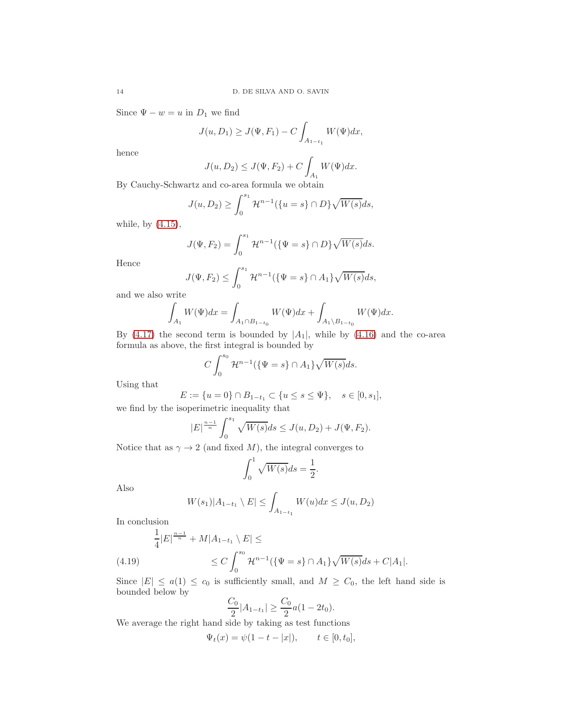Since  $\Psi - w = u$  in  $D_1$  we find

$$
J(u, D_1) \ge J(\Psi, F_1) - C \int_{A_{1-t_1}} W(\Psi) dx,
$$

hence

$$
J(u, D_2) \le J(\Psi, F_2) + C \int_{A_1} W(\Psi) dx.
$$

By Cauchy-Schwartz and co-area formula we obtain

$$
J(u, D_2) \ge \int_0^{s_1} \mathcal{H}^{n-1}(\{u = s\} \cap D\} \sqrt{W(s)} ds,
$$

while, by [\(4.15\)](#page-12-0),

$$
J(\Psi, F_2) = \int_0^{s_1} \mathcal{H}^{n-1}(\{\Psi = s\} \cap D\} \sqrt{W(s)} ds.
$$

Hence

$$
J(\Psi, F_2) \le \int_0^{s_1} \mathcal{H}^{n-1}(\{\Psi = s\} \cap A_1\} \sqrt{W(s)} ds,
$$

and we also write

$$
\int_{A_1} W(\Psi) dx = \int_{A_1 \cap B_{1-t_0}} W(\Psi) dx + \int_{A_1 \setminus B_{1-t_0}} W(\Psi) dx.
$$

By [\(4.17\)](#page-12-1) the second term is bounded by  $|A_1|$ , while by [\(4.16\)](#page-12-2) and the co-area formula as above, the first integral is bounded by

$$
C \int_0^{s_0} \mathcal{H}^{n-1}(\{\Psi = s\} \cap A_1\} \sqrt{W(s)} ds.
$$

Using that

$$
E := \{ u = 0 \} \cap B_{1-t_1} \subset \{ u \le s \le \Psi \}, \quad s \in [0, s_1],
$$

we find by the isoperimetric inequality that

$$
|E|^{\frac{n-1}{n}} \int_0^{s_1} \sqrt{W(s)} ds \le J(u, D_2) + J(\Psi, F_2).
$$

Notice that as  $\gamma \to 2$  (and fixed M), the integral converges to

$$
\int_0^1 \sqrt{W(s)}ds = \frac{1}{2}.
$$

Also

$$
W(s_1)|A_{1-t_1} \setminus E| \le \int_{A_{1-t_1}} W(u)dx \le J(u, D_2)
$$

In conclusion

$$
\frac{1}{4}|E|^{\frac{n-1}{n}} + M|A_{1-t_1} \setminus E| \le
$$
\n
$$
\le C \int_0^{s_0} \mathcal{H}^{n-1}(\{\Psi = s\} \cap A_1\} \sqrt{W(s)} ds + C|A_1|.
$$

<span id="page-13-0"></span>Since  $|E| \le a(1) \le c_0$  is sufficiently small, and  $M \ge C_0$ , the left hand side is bounded below by

$$
\frac{C_0}{2}|A_{1-t_1}| \ge \frac{C_0}{2}a(1-2t_0).
$$

We average the right hand side by taking as test functions

$$
\Psi_t(x) = \psi(1 - t - |x|), \qquad t \in [0, t_0],
$$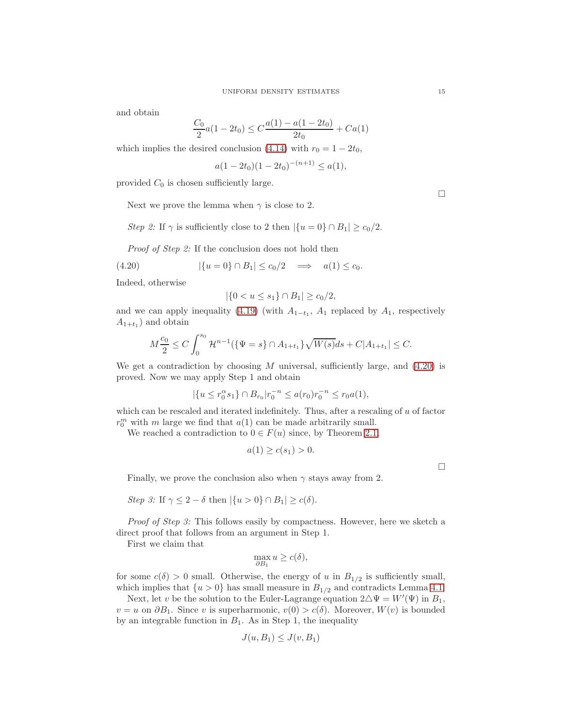and obtain

$$
\frac{C_0}{2}a(1 - 2t_0) \le C\frac{a(1) - a(1 - 2t_0)}{2t_0} + Ca(1)
$$

which implies the desired conclusion [\(4.14\)](#page-11-0) with  $r_0 = 1 - 2t_0$ ,

$$
a(1-2t_0)(1-2t_0)^{-(n+1)} \le a(1),
$$

provided  $C_0$  is chosen sufficiently large.

Next we prove the lemma when  $\gamma$  is close to 2.

Step 2: If  $\gamma$  is sufficiently close to 2 then  $|\{u=0\} \cap B_1| \ge c_0/2$ .

Proof of Step 2: If the conclusion does not hold then

$$
(4.20) \qquad \qquad |\{u=0\} \cap B_1| \le c_0/2 \quad \Longrightarrow \quad a(1) \le c_0.
$$

Indeed, otherwise

<span id="page-14-0"></span>
$$
|\{0 < u \le s_1\} \cap B_1| \ge c_0/2,
$$

and we can apply inequality [\(4.19\)](#page-13-0) (with  $A_{1-t_1}$ ,  $A_1$  replaced by  $A_1$ , respectively  $A_{1+t_1}$ ) and obtain

$$
M\frac{c_0}{2} \le C \int_0^{s_0} \mathcal{H}^{n-1}(\{\Psi = s\} \cap A_{1+t_1}\}\sqrt{W(s)}ds + C|A_{1+t_1}| \le C.
$$

We get a contradiction by choosing  $M$  universal, sufficiently large, and  $(4.20)$  is proved. Now we may apply Step 1 and obtain

$$
|\{u \le r_0^{\alpha} s_1\} \cap B_{r_0}|r_0^{-n} \le a(r_0)r_0^{-n} \le r_0 a(1),
$$

which can be rescaled and iterated indefinitely. Thus, after a rescaling of  $u$  of factor  $r_0^m$  with m large we find that  $a(1)$  can be made arbitrarily small.

We reached a contradiction to  $0 \in F(u)$  since, by Theorem [2.1,](#page-2-2)

$$
a(1) \ge c(s_1) > 0.
$$

Finally, we prove the conclusion also when  $\gamma$  stays away from 2.

Step 3: If 
$$
\gamma \leq 2 - \delta
$$
 then  $|\{u > 0\} \cap B_1| \geq c(\delta)$ .

Proof of Step 3: This follows easily by compactness. However, here we sketch a direct proof that follows from an argument in Step 1.

First we claim that

$$
\max_{\partial B_1} u \ge c(\delta),
$$

for some  $c(\delta) > 0$  small. Otherwise, the energy of u in  $B_{1/2}$  is sufficiently small, which implies that  $\{u > 0\}$  has small measure in  $B_{1/2}$  and contradicts Lemma [4.1.](#page-6-2)

Next, let v be the solution to the Euler-Lagrange equation  $2\Delta\Psi = W'(\Psi)$  in  $B_1$ ,  $v = u$  on  $\partial B_1$ . Since v is superharmonic,  $v(0) > c(\delta)$ . Moreover,  $W(v)$  is bounded by an integrable function in  $B_1$ . As in Step 1, the inequality

$$
J(u, B_1) \le J(v, B_1)
$$

 $\Box$ 

 $\Box$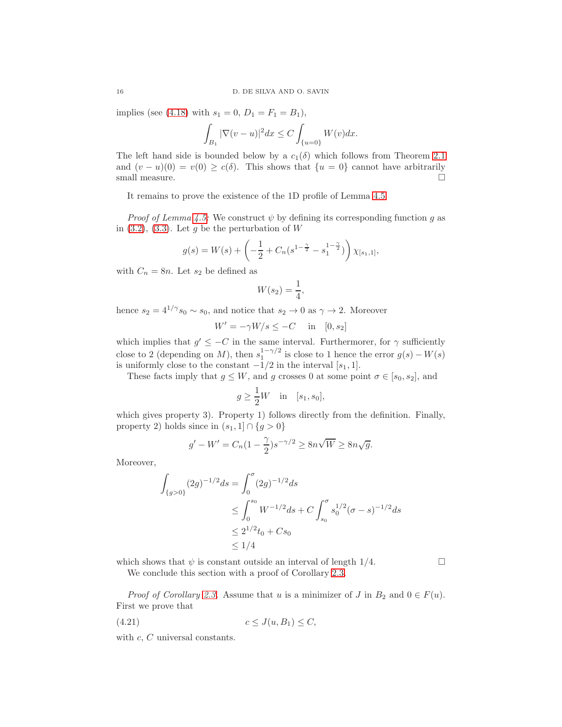implies (see [\(4.18\)](#page-12-3) with  $s_1 = 0$ ,  $D_1 = F_1 = B_1$ ),

$$
\int_{B_1}|\nabla(v-u)|^2dx\leq C\int_{\{u=0\}}W(v)dx.
$$

The left hand side is bounded below by a  $c_1(\delta)$  which follows from Theorem [2.1](#page-2-2) and  $(v - u)(0) = v(0) \ge c(\delta)$ . This shows that  $\{u = 0\}$  cannot have arbitrarily small measure. small measure.

It remains to prove the existence of the 1D profile of Lemma [4.5.](#page-11-1)

*Proof of Lemma [4.5:](#page-11-1)* We construct  $\psi$  by defining its corresponding function g as in  $(3.2)$ ,  $(3.3)$ . Let g be the perturbation of W

$$
g(s) = W(s) + \left(-\frac{1}{2} + C_n(s^{1-\frac{\gamma}{2}} - s_1^{1-\frac{\gamma}{2}})\right) \chi_{[s_1,1]},
$$

with  $C_n = 8n$ . Let  $s_2$  be defined as

$$
W(s_2) = \frac{1}{4},
$$

hence  $s_2 = 4^{1/\gamma} s_0 \sim s_0$ , and notice that  $s_2 \to 0$  as  $\gamma \to 2$ . Moreover

$$
W' = -\gamma W/s \le -C \quad \text{in} \quad [0, s_2]
$$

which implies that  $g' \leq -C$  in the same interval. Furthermorer, for  $\gamma$  sufficiently close to 2 (depending on M), then  $s_1^{1-\gamma/2}$  is close to 1 hence the error  $g(s) - W(s)$ is uniformly close to the constant  $-1/2$  in the interval [ $s_1$ , 1].

These facts imply that  $g \leq W$ , and g crosses 0 at some point  $\sigma \in [s_0, s_2]$ , and

$$
g \ge \frac{1}{2}W \quad \text{in} \quad [s_1, s_0],
$$

which gives property 3). Property 1) follows directly from the definition. Finally, property 2) holds since in  $(s_1, 1] \cap \{g > 0\}$ 

$$
g' - W' = C_n \left(1 - \frac{\gamma}{2}\right) s^{-\gamma/2} \ge 8n\sqrt{W} \ge 8n\sqrt{g}.
$$

Moreover,

$$
\int_{\{g>0\}} (2g)^{-1/2} ds = \int_0^{\sigma} (2g)^{-1/2} ds
$$
\n
$$
\leq \int_0^{s_0} W^{-1/2} ds + C \int_{s_0}^{\sigma} s_0^{1/2} (\sigma - s)^{-1/2} ds
$$
\n
$$
\leq 2^{1/2} t_0 + Cs_0
$$
\n
$$
\leq 1/4
$$

which shows that  $\psi$  is constant outside an interval of length  $1/4$ . We conclude this section with a proof of Corollary [2.3.](#page-3-2)

*Proof of Corollary [2.3.](#page-3-2)* Assume that u is a minimizer of J in  $B_2$  and  $0 \in F(u)$ . First we prove that

<span id="page-15-0"></span>
$$
(4.21) \t\t c \leq J(u, B_1) \leq C,
$$

with c, C universal constants.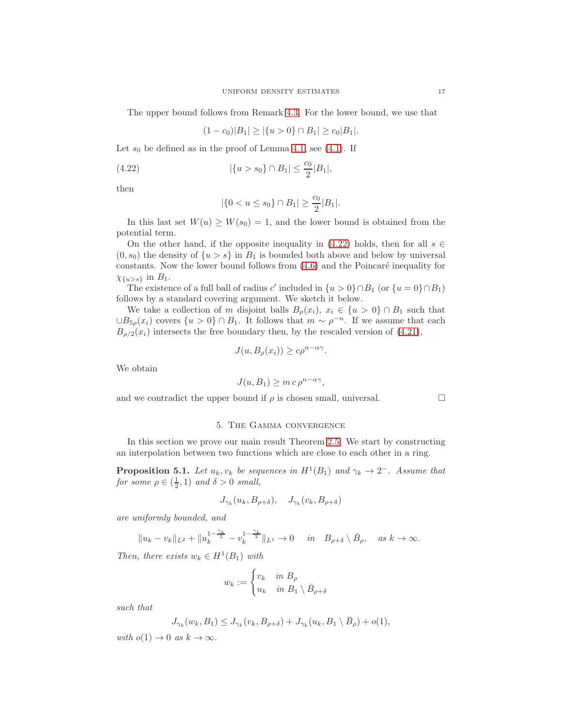The upper bound follows from Remark [4.3.](#page-11-2) For the lower bound, we use that

$$
(1 - c_0)|B_1| \ge |\{u > 0\} \cap B_1| \ge c_0|B_1|.
$$

Let  $s_0$  be defined as in the proof of Lemma [4.1,](#page-6-2) see [\(4.1\)](#page-7-2). If

(4.22) 
$$
|\{u > s_0\} \cap B_1| \leq \frac{c_0}{2}|B_1|,
$$

then

<span id="page-16-0"></span>
$$
|\{0 < u \le s_0\} \cap B_1| \ge \frac{c_0}{2}|B_1|.
$$

In this last set  $W(u) \geq W(s_0) = 1$ , and the lower bound is obtained from the potential term.

On the other hand, if the opposite inequality in  $(4.22)$  holds, then for all  $s \in$  $(0, s_0)$  the density of  $\{u > s\}$  in  $B_1$  is bounded both above and below by universal constants. Now the lower bound follows from  $(4.6)$  and the Poincaré inequality for  $\chi_{\{u>s\}}$  in  $B_1$ .

The existence of a full ball of radius c' included in  $\{u > 0\} \cap B_1$  (or  $\{u = 0\} \cap B_1$ ) follows by a standard covering argument. We sketch it below.

We take a collection of m disjoint balls  $B_{\rho}(x_i)$ ,  $x_i \in \{u > 0\} \cap B_1$  such that  $\cup B_{5\rho}(x_i)$  covers  $\{u > 0\} \cap B_1$ . It follows that  $m \sim \rho^{-n}$ . If we assume that each  $B_{\rho/2}(x_i)$  intersects the free boundary then, by the rescaled version of [\(4.21\)](#page-15-0),

$$
J(u, B_{\rho}(x_i)) \ge c\rho^{n-\alpha\gamma}.
$$

We obtain

$$
J(u, B_1) \ge m c \rho^{n - \alpha \gamma},
$$

and we contradict the upper bound if  $\rho$  is chosen small, universal.

### 5. The Gamma convergence

In this section we prove our main result Theorem [2.5.](#page-3-1) We start by constructing an interpolation between two functions which are close to each other in a ring.

<span id="page-16-1"></span>**Proposition 5.1.** Let  $u_k, v_k$  be sequences in  $H^1(B_1)$  and  $\gamma_k \to 2^-$ . Assume that for some  $\rho \in (\frac{1}{2}, 1)$  and  $\delta > 0$  small,

$$
J_{\gamma_k}(u_k, B_{\rho+\delta}), \quad J_{\gamma_k}(v_k, B_{\rho+\delta})
$$

are uniformly bounded, and

$$
||u_k - v_k||_{L^2} + ||u_k^{1 - \frac{\gamma_k}{2}} - v_k^{1 - \frac{\gamma_k}{2}}||_{L^1} \to 0 \quad in \quad B_{\rho + \delta} \setminus \bar{B}_{\rho}, \quad \text{as } k \to \infty.
$$

Then, there exists  $w_k \in H^1(B_1)$  with

$$
w_k := \begin{cases} v_k & \text{in } B_\rho \\ u_k & \text{in } B_1 \setminus \bar{B}_{\rho+\delta} \end{cases}
$$

such that

$$
J_{\gamma_k}(w_k, B_1) \leq J_{\gamma_k}(v_k, B_{\rho+\delta}) + J_{\gamma_k}(u_k, B_1 \setminus \overline{B}_{\rho}) + o(1),
$$

with  $o(1) \rightarrow 0$  as  $k \rightarrow \infty$ .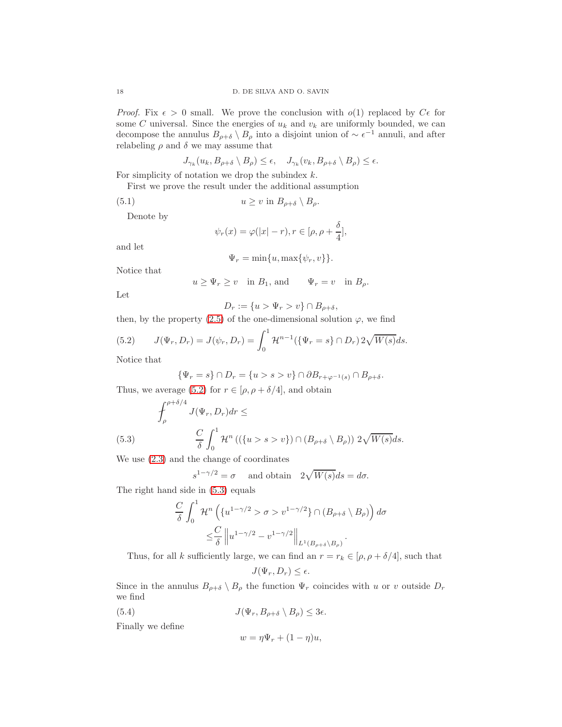*Proof.* Fix  $\epsilon > 0$  small. We prove the conclusion with  $o(1)$  replaced by  $C\epsilon$  for some C universal. Since the energies of  $u_k$  and  $v_k$  are uniformly bounded, we can decompose the annulus  $B_{\rho+\delta} \setminus B_{\rho}$  into a disjoint union of  $\sim \epsilon^{-1}$  annuli, and after relabeling  $\rho$  and  $\delta$  we may assume that

$$
J_{\gamma_k}(u_k, B_{\rho+\delta} \setminus B_{\rho}) \le \epsilon, \quad J_{\gamma_k}(v_k, B_{\rho+\delta} \setminus B_{\rho}) \le \epsilon.
$$

For simplicity of notation we drop the subindex  $k$ .

First we prove the result under the additional assumption

$$
(5.1) \t\t u \ge v \text{ in } B_{\rho+\delta} \setminus B_{\rho}.
$$

Denote by

<span id="page-17-2"></span>
$$
\psi_r(x) = \varphi(|x| - r), r \in [\rho, \rho + \frac{\delta}{4}],
$$

and let

$$
\Psi_r = \min\{u, \max\{\psi_r, v\}\}.
$$

Notice that

$$
u \ge \Psi_r \ge v
$$
 in  $B_1$ , and  $\Psi_r = v$  in  $B_\rho$ .

Let

$$
D_r := \{ u > \Psi_r > v \} \cap B_{\rho + \delta},
$$

then, by the property [\(2.5\)](#page-2-4) of the one-dimensional solution  $\varphi$ , we find

<span id="page-17-0"></span>(5.2) 
$$
J(\Psi_r, D_r) = J(\psi_r, D_r) = \int_0^1 \mathcal{H}^{n-1}(\{\Psi_r = s\} \cap D_r) 2\sqrt{W(s)} ds.
$$

Notice that

$$
\{\Psi_r = s\} \cap D_r = \{u > s > v\} \cap \partial B_{r+\varphi^{-1}(s)} \cap B_{\rho+\delta}.
$$

Thus, we average [\(5.2\)](#page-17-0) for  $r \in [\rho, \rho + \delta/4]$ , and obtain

(5.3) 
$$
\int_{\rho}^{\rho+\delta/4} J(\Psi_r, D_r) dr \le
$$

$$
\frac{C}{\delta} \int_0^1 \mathcal{H}^n \left( (\{u > s > v\}) \cap (B_{\rho+\delta} \setminus B_{\rho}) \right) 2\sqrt{W(s)} ds.
$$

<span id="page-17-1"></span>We use [\(2.3\)](#page-2-5) and the change of coordinates

$$
s^{1-\gamma/2} = \sigma \quad \text{ and obtain} \quad 2\sqrt{W(s)}ds = d\sigma.
$$

The right hand side in [\(5.3\)](#page-17-1) equals

$$
\frac{C}{\delta} \int_0^1 \mathcal{H}^n \left( \{ u^{1-\gamma/2} > \sigma > v^{1-\gamma/2} \} \cap (B_{\rho+\delta} \setminus B_{\rho}) \right) d\sigma
$$
  

$$
\leq \frac{C}{\delta} \left\| u^{1-\gamma/2} - v^{1-\gamma/2} \right\|_{L^1(B_{\rho+\delta} \setminus B_{\rho})}.
$$

Thus, for all k sufficiently large, we can find an  $r = r_k \in [\rho, \rho + \delta/4]$ , such that

$$
J(\Psi_r, D_r) \leq \epsilon.
$$

Since in the annulus  $B_{\rho+\delta} \setminus B_{\rho}$  the function  $\Psi_r$  coincides with u or v outside  $D_r$ we find

(5.4)  $J(\Psi_r, B_{\rho+\delta} \setminus B_{\rho}) \leq 3\epsilon.$ 

Finally we define

$$
w = \eta \Psi_r + (1 - \eta)u,
$$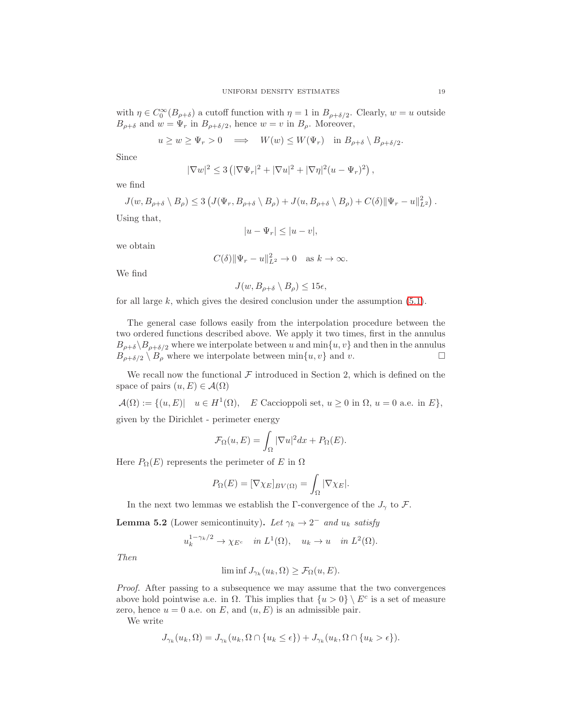with  $\eta \in C_0^{\infty}(B_{\rho+\delta})$  a cutoff function with  $\eta=1$  in  $B_{\rho+\delta/2}$ . Clearly,  $w=u$  outside  $B_{\rho+\delta}$  and  $w = \Psi_r$  in  $B_{\rho+\delta/2}$ , hence  $w = v$  in  $B_{\rho}$ . Moreover,

$$
u \ge w \ge \Psi_r > 0 \implies W(w) \le W(\Psi_r) \text{ in } B_{\rho+\delta} \setminus B_{\rho+\delta/2}.
$$

Since

$$
|\nabla w|^2 \le 3\left(|\nabla \Psi_r|^2 + |\nabla u|^2 + |\nabla \eta|^2 (u - \Psi_r)^2\right),
$$

we find

$$
J(w, B_{\rho+\delta} \setminus B_{\rho}) \le 3 \left( J(\Psi_r, B_{\rho+\delta} \setminus B_{\rho}) + J(u, B_{\rho+\delta} \setminus B_{\rho}) + C(\delta) \|\Psi_r - u\|_{L^2}^2 \right).
$$
  
Using that

Using that,

$$
|u - \Psi_r| \le |u - v|,
$$

we obtain

$$
C(\delta) \|\Psi_r - u\|_{L^2}^2 \to 0 \quad \text{as } k \to \infty.
$$

We find

$$
J(w, B_{\rho+\delta} \setminus B_{\rho}) \le 15\epsilon,
$$

for all large  $k$ , which gives the desired conclusion under the assumption  $(5.1)$ .

The general case follows easily from the interpolation procedure between the two ordered functions described above. We apply it two times, first in the annulus  $B_{\rho+\delta}\setminus B_{\rho+\delta/2}$  where we interpolate between u and min $\{u, v\}$  and then in the annulus  $B_{\rho+\delta/2} \setminus B_{\rho}$  where we interpolate between min $\{u, v\}$  and v.  $B_{\rho+\delta/2} \setminus B_{\rho}$  where we interpolate between  $\min\{u, v\}$  and v.

We recall now the functional  $\mathcal F$  introduced in Section 2, which is defined on the space of pairs  $(u, E) \in \mathcal{A}(\Omega)$ 

 $\mathcal{A}(\Omega) := \{ (u, E) | u \in H^1(\Omega), E$  Caccioppoli set,  $u \ge 0$  in  $\Omega, u = 0$  a.e. in  $E \},$ given by the Dirichlet - perimeter energy

$$
\mathcal{F}_{\Omega}(u,E) = \int_{\Omega} |\nabla u|^2 dx + P_{\Omega}(E).
$$

Here  $P_{\Omega}(E)$  represents the perimeter of E in  $\Omega$ 

$$
P_{\Omega}(E) = [\nabla \chi_E]_{BV(\Omega)} = \int_{\Omega} |\nabla \chi_E|.
$$

In the next two lemmas we establish the Γ-convergence of the  $J_{\gamma}$  to F.

<span id="page-18-0"></span>**Lemma 5.2** (Lower semicontinuity). Let  $\gamma_k \to 2^-$  and  $u_k$  satisfy

$$
u_k^{1-\gamma_k/2} \to \chi_{E^c}
$$
 in  $L^1(\Omega)$ ,  $u_k \to u$  in  $L^2(\Omega)$ .

Then

$$
\liminf J_{\gamma_k}(u_k,\Omega) \ge \mathcal{F}_{\Omega}(u,E).
$$

Proof. After passing to a subsequence we may assume that the two convergences above hold pointwise a.e. in  $\Omega$ . This implies that  $\{u > 0\} \setminus E^c$  is a set of measure zero, hence  $u = 0$  a.e. on E, and  $(u, E)$  is an admissible pair.

We write

$$
J_{\gamma_k}(u_k, \Omega) = J_{\gamma_k}(u_k, \Omega \cap \{u_k \leq \epsilon\}) + J_{\gamma_k}(u_k, \Omega \cap \{u_k > \epsilon\}).
$$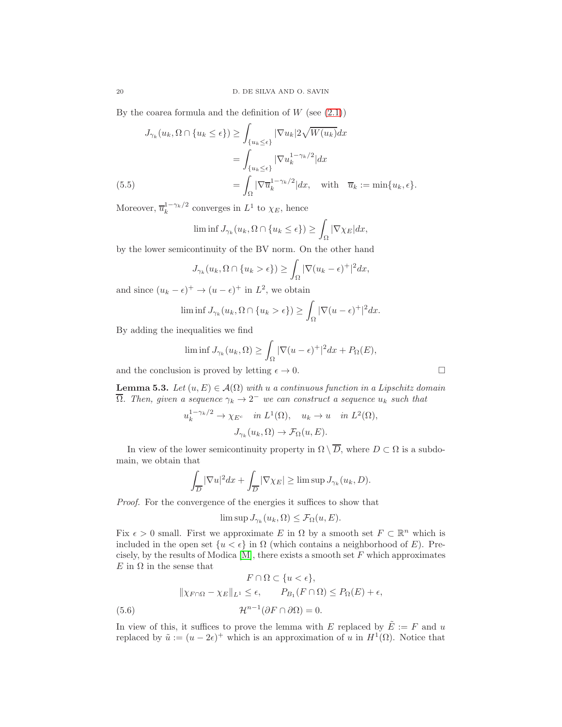By the coarea formula and the definition of  $W$  (see  $(2.1)$ )

$$
J_{\gamma_k}(u_k, \Omega \cap \{u_k \le \epsilon\}) \ge \int_{\{u_k \le \epsilon\}} |\nabla u_k| 2\sqrt{W(u_k)} dx
$$
  
= 
$$
\int_{\{u_k \le \epsilon\}} |\nabla u_k^{1-\gamma_k/2}| dx
$$
  
(5.5) 
$$
= \int_{\Omega} |\nabla \overline{u}_k^{1-\gamma_k/2}| dx, \text{ with } \overline{u}_k := \min\{u_k, \epsilon\}.
$$

<span id="page-19-1"></span>Moreover,  $\overline{u}_k^{1-\gamma_k/2}$  converges in  $L^1$  to  $\chi_E$ , hence

$$
\liminf J_{\gamma_k}(u_k, \Omega \cap \{u_k \le \epsilon\}) \ge \int_{\Omega} |\nabla \chi_E| dx,
$$

by the lower semicontinuity of the BV norm. On the other hand

$$
J_{\gamma_k}(u_k, \Omega \cap \{u_k > \epsilon\}) \ge \int_{\Omega} |\nabla(u_k - \epsilon)^+|^2 dx,
$$

and since  $(u_k - \epsilon)^+ \to (u - \epsilon)^+$  in  $L^2$ , we obtain

$$
\liminf J_{\gamma_k}(u_k, \Omega \cap \{u_k > \epsilon\}) \ge \int_{\Omega} |\nabla(u - \epsilon)^+|^2 dx.
$$

By adding the inequalities we find

$$
\liminf J_{\gamma_k}(u_k, \Omega) \ge \int_{\Omega} |\nabla(u - \epsilon)^+|^2 dx + P_{\Omega}(E),
$$

and the conclusion is proved by letting  $\epsilon \to 0$ .

<span id="page-19-2"></span>**Lemma 5.3.** Let  $(u, E) \in \mathcal{A}(\Omega)$  with u a continuous function in a Lipschitz domain  $\overline{\Omega}$ . Then, given a sequence  $\gamma_k \to 2^-$  we can construct a sequence  $u_k$  such that

$$
u_k^{1-\gamma_k/2} \to \chi_{E^c} \quad in \ L^1(\Omega), \quad u_k \to u \quad in \ L^2(\Omega),
$$

$$
J_{\gamma_k}(u_k, \Omega) \to \mathcal{F}_{\Omega}(u, E).
$$

In view of the lower semicontinuity property in  $\Omega \setminus \overline{D}$ , where  $D \subset \Omega$  is a subdomain, we obtain that

$$
\int_{\overline{D}} |\nabla u|^2 dx + \int_{\overline{D}} |\nabla \chi_E| \ge \limsup J_{\gamma_k}(u_k, D).
$$

Proof. For the convergence of the energies it suffices to show that

<span id="page-19-0"></span>
$$
\limsup J_{\gamma_k}(u_k,\Omega) \leq \mathcal{F}_{\Omega}(u,E).
$$

Fix  $\epsilon > 0$  small. First we approximate E in  $\Omega$  by a smooth set  $F \subset \mathbb{R}^n$  which is included in the open set  $\{u < \epsilon\}$  in  $\Omega$  (which contains a neighborhood of E). Precisely, by the results of Modica  $[M]$ , there exists a smooth set  $F$  which approximates  $E$  in  $\Omega$  in the sense that

$$
F \cap \Omega \subset \{u < \epsilon\},
$$
\n
$$
\|\chi_{F \cap \Omega} - \chi_E\|_{L^1} \le \epsilon, \qquad P_{B_1}(F \cap \Omega) \le P_{\Omega}(E) + \epsilon,
$$
\n
$$
\mathcal{H}^{n-1}(\partial F \cap \partial \Omega) = 0.
$$

In view of this, it suffices to prove the lemma with E replaced by  $\tilde{E} := F$  and u replaced by  $\tilde{u} := (u - 2\epsilon)^+$  which is an approximation of u in  $H^1(\Omega)$ . Notice that

$$
\Box
$$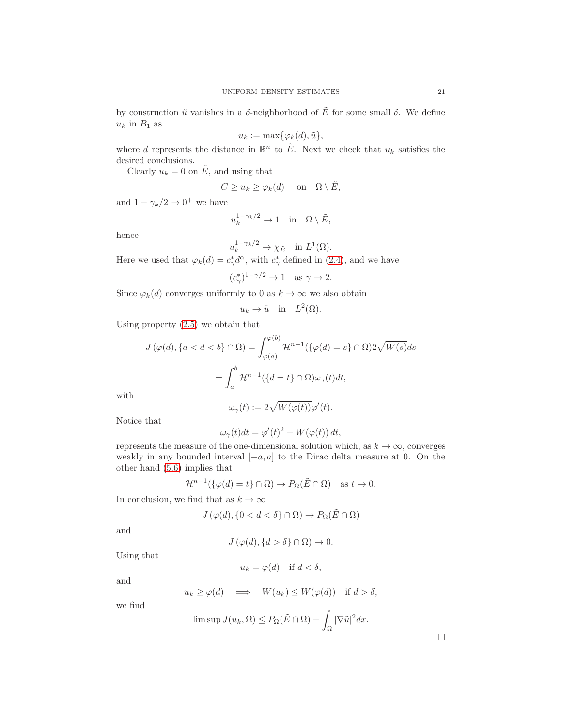by construction  $\tilde{u}$  vanishes in a  $\delta$ -neighborhood of  $\tilde{E}$  for some small  $\delta$ . We define  $u_k$  in  $B_1$  as

$$
u_k := \max\{\varphi_k(d), \tilde{u}\},\
$$

where d represents the distance in  $\mathbb{R}^n$  to  $\tilde{E}$ . Next we check that  $u_k$  satisfies the desired conclusions.

Clearly  $u_k = 0$  on  $\tilde{E}$ , and using that

$$
C \ge u_k \ge \varphi_k(d) \quad \text{on} \quad \Omega \setminus \tilde{E},
$$

and  $1 - \gamma_k/2 \rightarrow 0^+$  we have

$$
u_k^{1-\gamma_k/2} \to 1 \quad \text{in} \quad \Omega \setminus \tilde{E},
$$

hence

$$
u_k^{1-\gamma_k/2} \to \chi_{\tilde{E}} \quad \text{in } L^1(\Omega).
$$

Here we used that  $\varphi_k(d) = c_\gamma^* d^\alpha$ , with  $c_\gamma^*$  defined in [\(2.4\)](#page-2-3), and we have

$$
(c_{\gamma}^*)^{1-\gamma/2}\to 1\quad\text{as }\gamma\to 2.
$$

Since  $\varphi_k(d)$  converges uniformly to 0 as  $k \to \infty$  we also obtain

$$
u_k \to \tilde{u} \quad \text{in} \quad L^2(\Omega).
$$

Using property [\(2.5\)](#page-2-4) we obtain that

$$
J(\varphi(d), \{a < d < b\} \cap \Omega) = \int_{\varphi(a)}^{\varphi(b)} \mathcal{H}^{n-1}(\{\varphi(d) = s\} \cap \Omega) 2\sqrt{W(s)} ds
$$

$$
= \int_{a}^{b} \mathcal{H}^{n-1}(\{d = t\} \cap \Omega) \omega_{\gamma}(t) dt,
$$

with

$$
\omega_{\gamma}(t) := 2\sqrt{W(\varphi(t))}\varphi'(t).
$$

Notice that

$$
\omega_{\gamma}(t)dt = \varphi'(t)^{2} + W(\varphi(t)) dt,
$$

represents the measure of the one-dimensional solution which, as  $k \to \infty$ , converges weakly in any bounded interval  $[-a, a]$  to the Dirac delta measure at 0. On the other hand [\(5.6\)](#page-19-0) implies that

$$
\mathcal{H}^{n-1}(\{\varphi(d)=t\}\cap\Omega)\to P_{\Omega}(\tilde{E}\cap\Omega) \quad \text{as } t\to 0.
$$

In conclusion, we find that as  $k\to\infty$ 

$$
J(\varphi(d), \{0 < d < \delta\} \cap \Omega) \to P_{\Omega}(\tilde{E} \cap \Omega)
$$

and

$$
J(\varphi(d), \{d > \delta\} \cap \Omega) \to 0.
$$

Using that

$$
u_k = \varphi(d) \quad \text{if } d < \delta,
$$

and

$$
u_k \ge \varphi(d) \quad \Longrightarrow \quad W(u_k) \le W(\varphi(d)) \quad \text{if } d > \delta,
$$

we find

$$
\limsup J(u_k, \Omega) \le P_{\Omega}(\tilde{E} \cap \Omega) + \int_{\Omega} |\nabla \tilde{u}|^2 dx.
$$

 $\Box$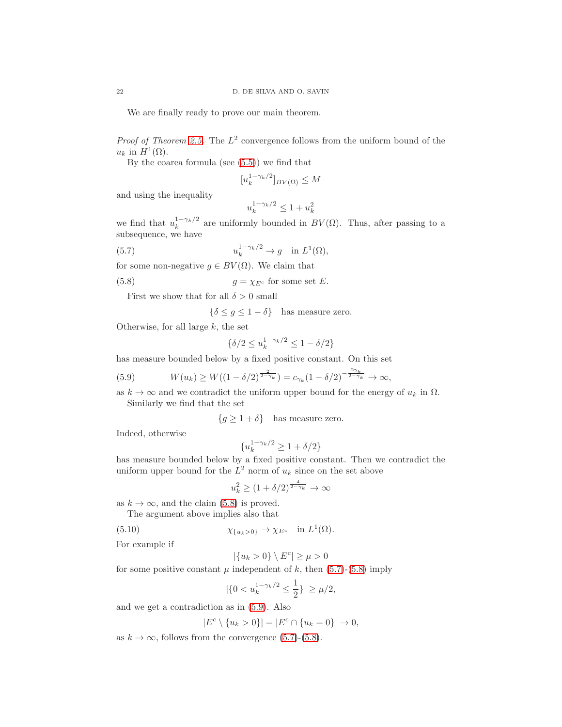We are finally ready to prove our main theorem.

*Proof of Theorem [2.5.](#page-3-1)* The  $L^2$  convergence follows from the uniform bound of the  $u_k$  in  $H^1(\Omega)$ .

By the coarea formula (see [\(5.5\)](#page-19-1)) we find that

$$
[u_k^{1-\gamma_k/2}]_{BV(\Omega)} \le M
$$

and using the inequality

<span id="page-21-1"></span>
$$
u_k^{1-\gamma_k/2} \le 1+u_k^2
$$

we find that  $u_k^{1-\gamma_k/2}$  are uniformly bounded in  $BV(\Omega)$ . Thus, after passing to a subsequence, we have

(5.7) 
$$
u_k^{1-\gamma_k/2} \to g \quad \text{in } L^1(\Omega),
$$

for some non-negative  $g \in BV(\Omega)$ . We claim that

(5.8) 
$$
g = \chi_{E^c}
$$
 for some set *E*.

First we show that for all  $\delta > 0$  small

<span id="page-21-0"></span> $\{\delta \leq g \leq 1-\delta\}$  has measure zero.

Otherwise, for all large  $k$ , the set

$$
\{\delta/2 \le u_k^{1-\gamma_k/2} \le 1-\delta/2\}
$$

has measure bounded below by a fixed positive constant. On this set

<span id="page-21-2"></span>(5.9) 
$$
W(u_k) \ge W((1 - \delta/2)^{\frac{2}{2 - \gamma_k}}) = c_{\gamma_k} (1 - \delta/2)^{-\frac{2\gamma_k}{2 - \gamma_k}} \to \infty,
$$

as  $k \to \infty$  and we contradict the uniform upper bound for the energy of  $u_k$  in  $\Omega$ . Similarly we find that the set

 ${g \geq 1 + \delta}$  has measure zero.

Indeed, otherwise

$$
\{u_k^{1-\gamma_k/2} \ge 1 + \delta/2\}
$$

has measure bounded below by a fixed positive constant. Then we contradict the uniform upper bound for the  $L^2$  norm of  $u_k$  since on the set above

$$
u_k^2 \ge (1 + \delta/2)^{\frac{4}{2 - \gamma_k}} \to \infty
$$

as  $k \to \infty$ , and the claim [\(5.8\)](#page-21-0) is proved.

The argument above implies also that

(5.10) 
$$
\chi_{\{u_k>0\}} \to \chi_{E^c} \quad \text{in } L^1(\Omega).
$$

For example if

<span id="page-21-3"></span>
$$
|\{u_k>0\}\setminus E^c|\geq \mu>0
$$

for some positive constant  $\mu$  independent of k, then [\(5.7\)](#page-21-1)-[\(5.8\)](#page-21-0) imply

$$
|\{0 < u_k^{1-\gamma_k/2} \le \frac{1}{2}\}| \ge \mu/2,
$$

and we get a contradiction as in [\(5.9\)](#page-21-2). Also

$$
|E^c \setminus \{u_k > 0\}| = |E^c \cap \{u_k = 0\}| \to 0,
$$

as  $k \to \infty$ , follows from the convergence [\(5.7\)](#page-21-1)-[\(5.8\)](#page-21-0).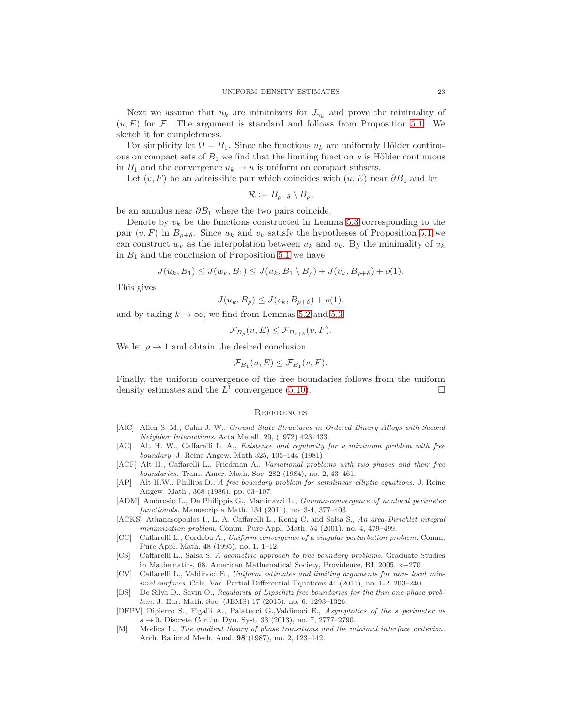Next we assume that  $u_k$  are minimizers for  $J_{\gamma_k}$  and prove the minimality of  $(u, E)$  for F. The argument is standard and follows from Proposition [5.1.](#page-16-1) We sketch it for completeness.

For simplicity let  $\Omega = B_1$ . Since the functions  $u_k$  are uniformly Hölder continuous on compact sets of  $B_1$  we find that the limiting function u is Hölder continuous in  $B_1$  and the convergence  $u_k \to u$  is uniform on compact subsets.

Let  $(v, F)$  be an admissible pair which coincides with  $(u, E)$  near  $\partial B_1$  and let

$$
\mathcal{R}:=B_{\rho+\delta}\setminus B_{\rho},
$$

be an annulus near  $\partial B_1$  where the two pairs coincide.

Denote by  $v_k$  be the functions constructed in Lemma [5.3](#page-19-2) corresponding to the pair  $(v, F)$  in  $B_{\rho+\delta}$ . Since  $u_k$  and  $v_k$  satisfy the hypotheses of Proposition [5.1](#page-16-1) we can construct  $w_k$  as the interpolation between  $u_k$  and  $v_k$ . By the minimality of  $u_k$ in  $B_1$  and the conclusion of Proposition [5.1](#page-16-1) we have

$$
J(u_k, B_1) \le J(w_k, B_1) \le J(u_k, B_1 \setminus B_\rho) + J(v_k, B_{\rho + \delta}) + o(1).
$$

This gives

$$
J(u_k, B_{\rho}) \le J(v_k, B_{\rho+\delta}) + o(1),
$$

and by taking  $k \to \infty$ , we find from Lemmas [5.2](#page-18-0) and [5.3](#page-19-2)

$$
\mathcal{F}_{B_{\rho}}(u,E) \leq \mathcal{F}_{B_{\rho+\delta}}(v,F).
$$

We let  $\rho \rightarrow 1$  and obtain the desired conclusion

$$
\mathcal{F}_{B_1}(u,E) \le \mathcal{F}_{B_1}(v,F).
$$

Finally, the uniform convergence of the free boundaries follows from the uniform density estimates and the  $L^{\bar{1}}$  convergence [\(5.10\)](#page-21-3).

#### **REFERENCES**

- [AlC] Allen S. M., Cahn J. W., *Ground State Structures in Ordered Binary Alloys with Second Neighbor Interactions*. Acta Metall. 20, (1972) 423–433.
- <span id="page-22-0"></span>[AC] Alt H. W., Caffarelli L. A., *Existence and regularity for a minimum problem with free boundary.* J. Reine Angew. Math 325, 105–144 (1981)
- <span id="page-22-1"></span>[ACF] Alt H., Caffarelli L., Friedman A., *Variational problems with two phases and their free boundaries.* Trans. Amer. Math. Soc. 282 (1984), no. 2, 43–461.
- <span id="page-22-3"></span>[AP] Alt H.W., Phillips D., *A free boundary problem for semilinear elliptic equations.* J. Reine Angew. Math., 368 (1986), pp. 63–107.
- <span id="page-22-7"></span>[ADM] Ambrosio L., De Philippis G., Martinazzi L., *Gamma-convergence of nonlocal perimeter functionals.* Manuscripta Math. 134 (2011), no. 3-4, 377–403.
- <span id="page-22-9"></span>[ACKS] Athanasopoulos I., L. A. Caffarelli L., Kenig C. and Salsa S., *An area-Dirichlet integral minimization problem.* Comm. Pure Appl. Math. 54 (2001), no. 4, 479–499.
- <span id="page-22-5"></span>[CC] Caffarelli L., Cordoba A., *Uniform convergence of a singular perturbation problem.* Comm. Pure Appl. Math. 48 (1995), no. 1, 1–12.
- <span id="page-22-2"></span>[CS] Caffarelli L., Salsa S. *A geometric approach to free boundary problems.* Graduate Studies in Mathematics, 68. American Mathematical Society, Providence, RI, 2005. x+270
- <span id="page-22-6"></span>[CV] Caffarelli L., Valdinoci E., *Uniform estimates and limiting arguments for non- local minimal surfaces*. Calc. Var. Partial Differential Equations 41 (2011), no. 1-2, 203–240.
- <span id="page-22-4"></span>[DS] De Silva D., Savin O., *Regularity of Lipschitz free boundaries for the thin one-phase problem.* J. Eur. Math. Soc. (JEMS) 17 (2015), no. 6, 1293–1326.
- <span id="page-22-8"></span>[DFPV] Dipierro S., Figalli A., Palatucci G.,Valdinoci E., *Asymptotics of the s perimeter as*  $s \to 0$ . Discrete Contin. Dyn. Syst. 33 (2013), no. 7, 2777–2790.
- <span id="page-22-10"></span>[M] Modica L., *The gradient theory of phase transitions and the minimal interface criterion.* Arch. Rational Mech. Anal. 98 (1987), no. 2, 123–142.